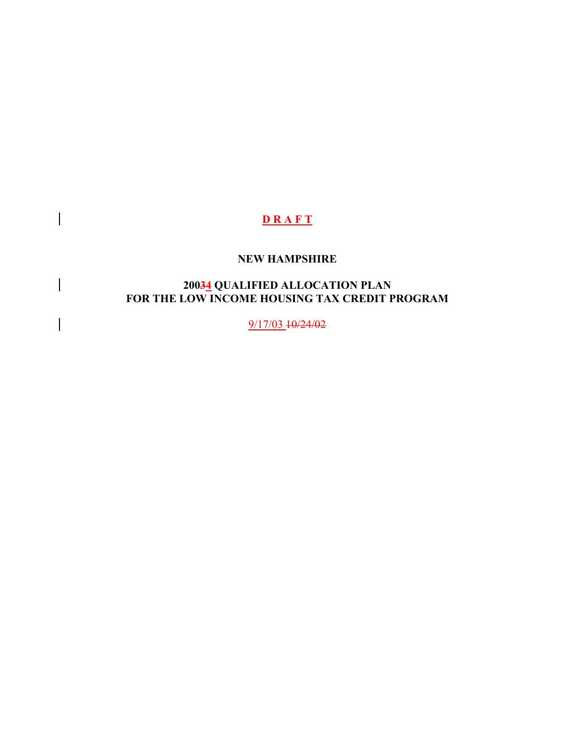# **D R A F T**

 $\overline{\phantom{a}}$ 

# **NEW HAMPSHIRE**

#### **20034 QUALIFIED ALLOCATION PLAN FOR THE LOW INCOME HOUSING TAX CREDIT PROGRAM**

9/17/03 10/24/02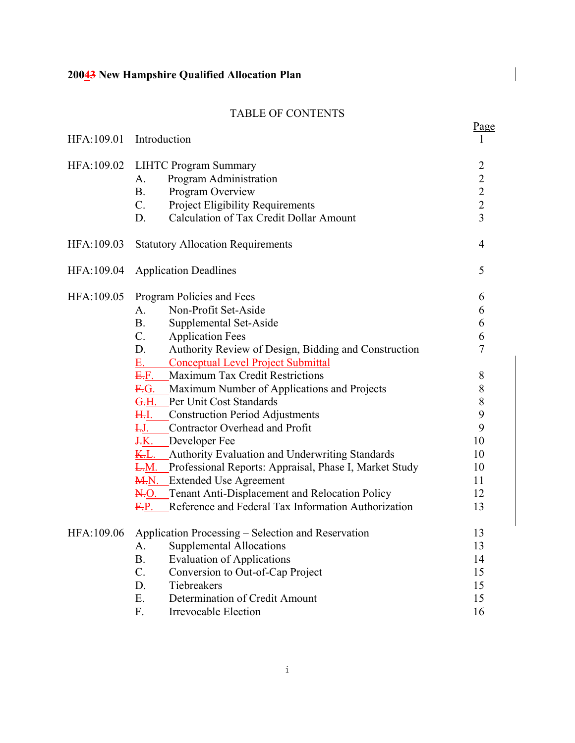# TABLE OF CONTENTS

| HFA:109.01 | Introduction                                                                                                                                                                                                                                                                                                                                                                                                                                                                                                                                                                                                                                                                                                                                                                                                                                     | Page                                                                                                    |
|------------|--------------------------------------------------------------------------------------------------------------------------------------------------------------------------------------------------------------------------------------------------------------------------------------------------------------------------------------------------------------------------------------------------------------------------------------------------------------------------------------------------------------------------------------------------------------------------------------------------------------------------------------------------------------------------------------------------------------------------------------------------------------------------------------------------------------------------------------------------|---------------------------------------------------------------------------------------------------------|
| HFA:109.02 | <b>LIHTC Program Summary</b><br>Program Administration<br>A.<br>Program Overview<br><b>B.</b><br>$C_{\cdot}$<br>Project Eligibility Requirements<br>Calculation of Tax Credit Dollar Amount<br>D.                                                                                                                                                                                                                                                                                                                                                                                                                                                                                                                                                                                                                                                | $\begin{array}{c} 2 \\ 2 \\ 2 \end{array}$<br>$\overline{3}$                                            |
| HFA:109.03 | <b>Statutory Allocation Requirements</b>                                                                                                                                                                                                                                                                                                                                                                                                                                                                                                                                                                                                                                                                                                                                                                                                         | $\overline{4}$                                                                                          |
| HFA:109.04 | <b>Application Deadlines</b>                                                                                                                                                                                                                                                                                                                                                                                                                                                                                                                                                                                                                                                                                                                                                                                                                     | 5                                                                                                       |
| HFA:109.05 | Program Policies and Fees<br>Non-Profit Set-Aside<br>A.<br><b>B</b> .<br>Supplemental Set-Aside<br>$C_{\cdot}$<br><b>Application Fees</b><br>Authority Review of Design, Bidding and Construction<br>D.<br>$E_{\rm{z}}$<br><b>Conceptual Level Project Submittal</b><br>E.F.<br>Maximum Tax Credit Restrictions<br>F.G. Maximum Number of Applications and Projects<br>G.H. Per Unit Cost Standards<br><del>H.</del> I.<br>Construction Period Adjustments<br>Contractor Overhead and Profit<br>$F_{\rm H}$<br>$\frac{J.K.}{J.K.}$ Developer Fee<br>Authority Evaluation and Underwriting Standards<br><u>K.L.</u><br>L.M.<br>Professional Reports: Appraisal, Phase I, Market Study<br><b>M.N.</b> Extended Use Agreement<br>N.O. Tenant Anti-Displacement and Relocation Policy<br>Reference and Federal Tax Information Authorization<br>E.P. | 6<br>6<br>6<br>6<br>$\overline{7}$<br>8<br>$\,$ $\,$<br>8<br>9<br>9<br>10<br>10<br>10<br>11<br>12<br>13 |
| HFA:109.06 | Application Processing - Selection and Reservation<br><b>Supplemental Allocations</b><br>A.<br><b>B.</b><br><b>Evaluation of Applications</b><br>$C$ .<br>Conversion to Out-of-Cap Project<br>D.<br>Tiebreakers<br>Ε.<br>Determination of Credit Amount<br>F.<br>Irrevocable Election                                                                                                                                                                                                                                                                                                                                                                                                                                                                                                                                                            | 13<br>13<br>14<br>15<br>15<br>15<br>16                                                                  |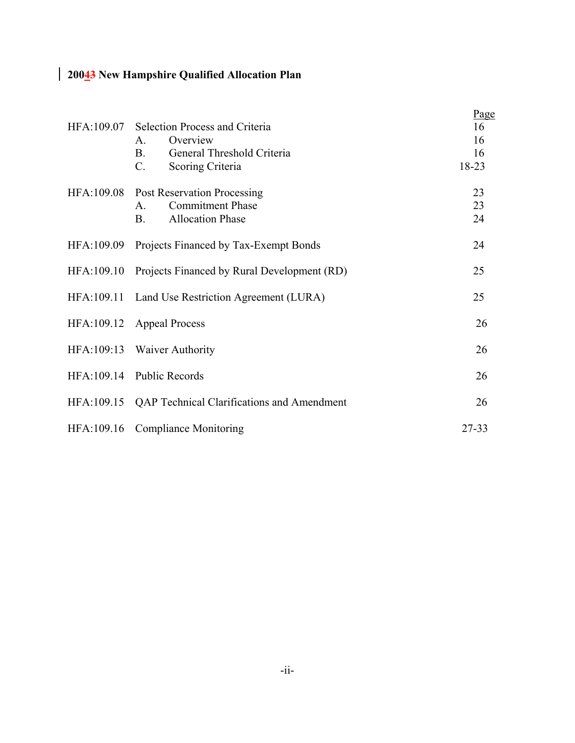|                                                        | Page  |
|--------------------------------------------------------|-------|
| HFA:109.07 Selection Process and Criteria              | 16    |
| Overview<br>A.                                         | 16    |
| General Threshold Criteria<br><b>B.</b>                | 16    |
| C.<br>Scoring Criteria                                 | 18-23 |
| HFA:109.08 Post Reservation Processing                 | 23    |
| <b>Commitment Phase</b><br>$A_{\cdot}$                 | 23    |
| <b>Allocation Phase</b><br><b>B.</b>                   | 24    |
| HFA:109.09 Projects Financed by Tax-Exempt Bonds       | 24    |
| HFA:109.10 Projects Financed by Rural Development (RD) | 25    |
| HFA:109.11 Land Use Restriction Agreement (LURA)       | 25    |
| HFA:109.12 Appeal Process                              | 26    |
| HFA:109:13 Waiver Authority                            | 26    |
| HFA:109.14 Public Records                              | 26    |
| HFA:109.15 QAP Technical Clarifications and Amendment  | 26    |
| HFA:109.16 Compliance Monitoring                       | 27-33 |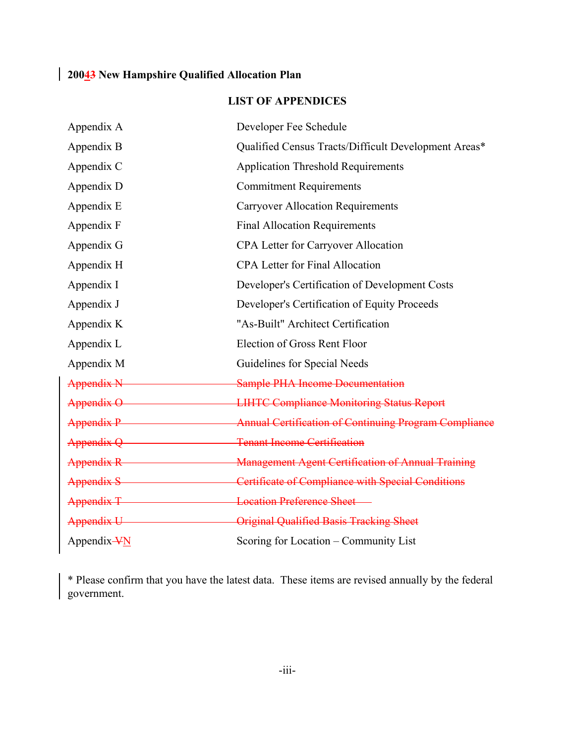# **LIST OF APPENDICES**

| Appendix A      | Developer Fee Schedule                                               |
|-----------------|----------------------------------------------------------------------|
| Appendix B      | Qualified Census Tracts/Difficult Development Areas*                 |
| Appendix C      | <b>Application Threshold Requirements</b>                            |
| Appendix D      | <b>Commitment Requirements</b>                                       |
| Appendix E      | <b>Carryover Allocation Requirements</b>                             |
| Appendix F      | <b>Final Allocation Requirements</b>                                 |
| Appendix G      | <b>CPA Letter for Carryover Allocation</b>                           |
| Appendix H      | <b>CPA Letter for Final Allocation</b>                               |
| Appendix I      | Developer's Certification of Development Costs                       |
| Appendix J      | Developer's Certification of Equity Proceeds                         |
| Appendix K      | "As-Built" Architect Certification                                   |
| Appendix L      | Election of Gross Rent Floor                                         |
| Appendix M      | Guidelines for Special Needs                                         |
| Appendix N      | <b>Sample PHA Income Documentation</b>                               |
|                 | Appendix O <b>EXECUTE:</b> LIHTC Compliance Monitoring Status Report |
| Appendix P      | <b>Annual Certification of Continuing Program Compliance</b>         |
| Appendix Q      | <b>Tenant Income Certification</b>                                   |
|                 | Appendix R Management Agent Certification of Annual Training         |
| Appendix S      | Certificate of Compliance with Special Conditions                    |
| Appendix T<br>T | <b>Location Preference Sheet</b>                                     |
| Appendix U      | <b>Original Qualified Basis Tracking Sheet</b>                       |
| Appendix-VN     | Scoring for Location - Community List                                |

\* Please confirm that you have the latest data. These items are revised annually by the federal government.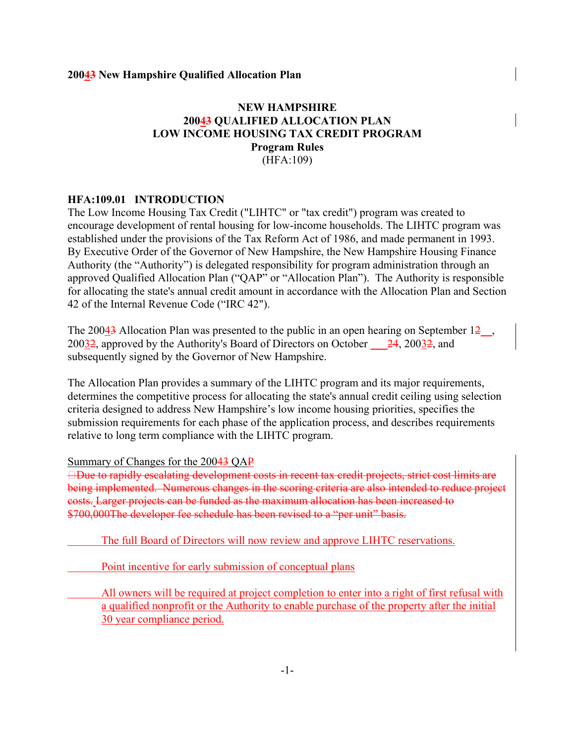# **NEW HAMPSHIRE 20043 QUALIFIED ALLOCATION PLAN LOW INCOME HOUSING TAX CREDIT PROGRAM Program Rules** (HFA:109)

#### **HFA:109.01 INTRODUCTION**

The Low Income Housing Tax Credit ("LIHTC" or "tax credit") program was created to encourage development of rental housing for low-income households. The LIHTC program was established under the provisions of the Tax Reform Act of 1986, and made permanent in 1993. By Executive Order of the Governor of New Hampshire, the New Hampshire Housing Finance Authority (the "Authority") is delegated responsibility for program administration through an approved Qualified Allocation Plan ("QAP" or "Allocation Plan"). The Authority is responsible for allocating the state's annual credit amount in accordance with the Allocation Plan and Section 42 of the Internal Revenue Code ("IRC 42").

The 20043 Allocation Plan was presented to the public in an open hearing on September  $12$ , 20032, approved by the Authority's Board of Directors on October  $\frac{24}{24}$ , 20032, and subsequently signed by the Governor of New Hampshire.

The Allocation Plan provides a summary of the LIHTC program and its major requirements, determines the competitive process for allocating the state's annual credit ceiling using selection criteria designed to address New Hampshire's low income housing priorities, specifies the submission requirements for each phase of the application process, and describes requirements relative to long term compliance with the LIHTC program.

Summary of Changes for the 20043 QAP

**□Due to rapidly escalating development costs in recent tax credit projects, strict cost limits are** being implemented. Numerous changes in the scoring criteria are also intended to reduce project costs. Larger projects can be funded as the maximum allocation has been increased to \$700,000The developer fee schedule has been revised to a "per unit" basis.

The full Board of Directors will now review and approve LIHTC reservations.

Point incentive for early submission of conceptual plans

All owners will be required at project completion to enter into a right of first refusal with a qualified nonprofit or the Authority to enable purchase of the property after the initial 30 year compliance period.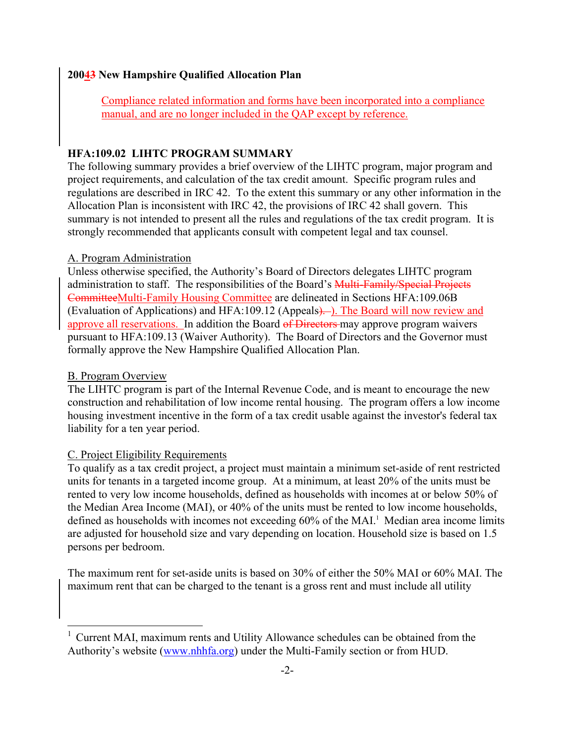Compliance related information and forms have been incorporated into a compliance manual, and are no longer included in the QAP except by reference.

#### **HFA:109.02 LIHTC PROGRAM SUMMARY**

The following summary provides a brief overview of the LIHTC program, major program and project requirements, and calculation of the tax credit amount. Specific program rules and regulations are described in IRC 42. To the extent this summary or any other information in the Allocation Plan is inconsistent with IRC 42, the provisions of IRC 42 shall govern. This summary is not intended to present all the rules and regulations of the tax credit program. It is strongly recommended that applicants consult with competent legal and tax counsel.

#### A. Program Administration

Unless otherwise specified, the Authority's Board of Directors delegates LIHTC program administration to staff. The responsibilities of the Board's Multi-Family/Special Projects CommitteeMulti-Family Housing Committee are delineated in Sections HFA:109.06B (Evaluation of Applications) and HFA:109.12 (Appeals). ). The Board will now review and approve all reservations. In addition the Board of Directors may approve program waivers pursuant to HFA:109.13 (Waiver Authority). The Board of Directors and the Governor must formally approve the New Hampshire Qualified Allocation Plan.

#### B. Program Overview

The LIHTC program is part of the Internal Revenue Code, and is meant to encourage the new construction and rehabilitation of low income rental housing. The program offers a low income housing investment incentive in the form of a tax credit usable against the investor's federal tax liability for a ten year period.

#### C. Project Eligibility Requirements

To qualify as a tax credit project, a project must maintain a minimum set-aside of rent restricted units for tenants in a targeted income group. At a minimum, at least 20% of the units must be rented to very low income households, defined as households with incomes at or below 50% of the Median Area Income (MAI), or 40% of the units must be rented to low income households, defined as households with incomes not exceeding 60% of the MAI.<sup>[1](#page-7-0)</sup> Median area income limits are adjusted for household size and vary depending on location. Household size is based on 1.5 persons per bedroom.

The maximum rent for set-aside units is based on 30% of either the 50% MAI or 60% MAI. The maximum rent that can be charged to the tenant is a gross rent and must include all utility

<span id="page-7-0"></span><sup>1</sup> Current MAI, maximum rents and Utility Allowance schedules can be obtained from the Authority's website (www.nhhfa.org) under the Multi-Family section or from HUD.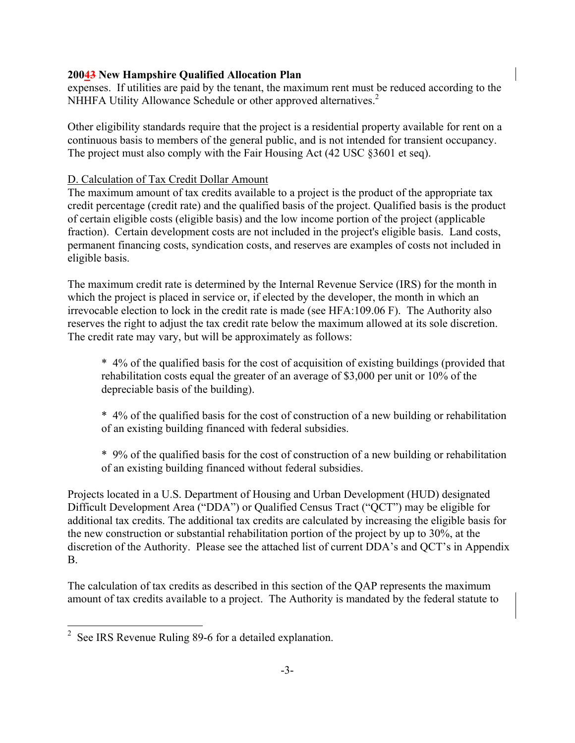expenses. If utilities are paid by the tenant, the maximum rent must be reduced according to the NHHFA Utility Allowance Schedule or other approved alternatives.<sup>[2](#page-8-0)</sup>

Other eligibility standards require that the project is a residential property available for rent on a continuous basis to members of the general public, and is not intended for transient occupancy. The project must also comply with the Fair Housing Act (42 USC §3601 et seq).

## D. Calculation of Tax Credit Dollar Amount

The maximum amount of tax credits available to a project is the product of the appropriate tax credit percentage (credit rate) and the qualified basis of the project. Qualified basis is the product of certain eligible costs (eligible basis) and the low income portion of the project (applicable fraction). Certain development costs are not included in the project's eligible basis. Land costs, permanent financing costs, syndication costs, and reserves are examples of costs not included in eligible basis.

The maximum credit rate is determined by the Internal Revenue Service (IRS) for the month in which the project is placed in service or, if elected by the developer, the month in which an irrevocable election to lock in the credit rate is made (see HFA:109.06 F). The Authority also reserves the right to adjust the tax credit rate below the maximum allowed at its sole discretion. The credit rate may vary, but will be approximately as follows:

\* 4% of the qualified basis for the cost of acquisition of existing buildings (provided that rehabilitation costs equal the greater of an average of \$3,000 per unit or 10% of the depreciable basis of the building).

\* 4% of the qualified basis for the cost of construction of a new building or rehabilitation of an existing building financed with federal subsidies.

\* 9% of the qualified basis for the cost of construction of a new building or rehabilitation of an existing building financed without federal subsidies.

Projects located in a U.S. Department of Housing and Urban Development (HUD) designated Difficult Development Area ("DDA") or Qualified Census Tract ("QCT") may be eligible for additional tax credits. The additional tax credits are calculated by increasing the eligible basis for the new construction or substantial rehabilitation portion of the project by up to 30%, at the discretion of the Authority. Please see the attached list of current DDA's and QCT's in Appendix B.

The calculation of tax credits as described in this section of the QAP represents the maximum amount of tax credits available to a project. The Authority is mandated by the federal statute to

<span id="page-8-0"></span><sup>2</sup> See IRS Revenue Ruling 89-6 for a detailed explanation.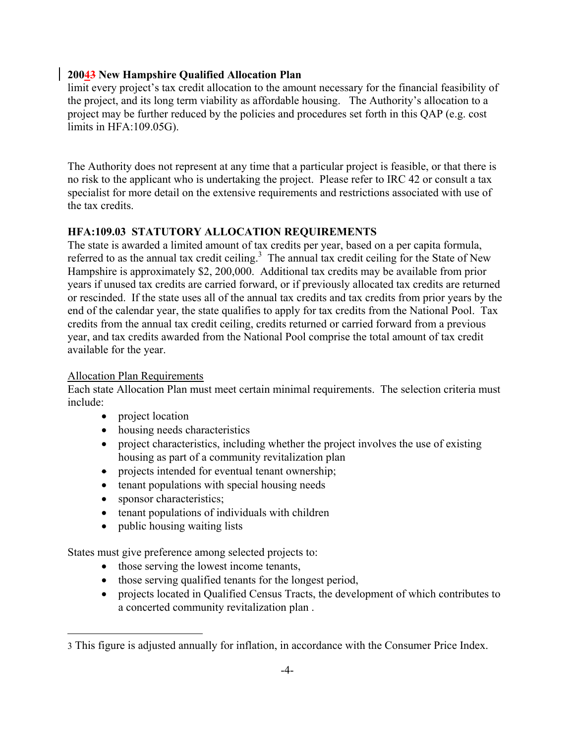limit every project's tax credit allocation to the amount necessary for the financial feasibility of the project, and its long term viability as affordable housing. The Authority's allocation to a project may be further reduced by the policies and procedures set forth in this QAP (e.g. cost limits in HFA:109.05G).

The Authority does not represent at any time that a particular project is feasible, or that there is no risk to the applicant who is undertaking the project. Please refer to IRC 42 or consult a tax specialist for more detail on the extensive requirements and restrictions associated with use of the tax credits.

# **HFA:109.03 STATUTORY ALLOCATION REQUIREMENTS**

The state is awarded a limited amount of tax credits per year, based on a per capita formula, referred to as the annual tax credit ceiling.<sup>3</sup> The annual tax credit ceiling for the State of New Hampshire is approximately \$2, 200,000. Additional tax credits may be available from prior years if unused tax credits are carried forward, or if previously allocated tax credits are returned or rescinded. If the state uses all of the annual tax credits and tax credits from prior years by the end of the calendar year, the state qualifies to apply for tax credits from the National Pool. Tax credits from the annual tax credit ceiling, credits returned or carried forward from a previous year, and tax credits awarded from the National Pool comprise the total amount of tax credit available for the year.

## Allocation Plan Requirements

Each state Allocation Plan must meet certain minimal requirements. The selection criteria must include:

- project location
- housing needs characteristics
- project characteristics, including whether the project involves the use of existing housing as part of a community revitalization plan
- projects intended for eventual tenant ownership;
- tenant populations with special housing needs
- sponsor characteristics;
- tenant populations of individuals with children
- public housing waiting lists

States must give preference among selected projects to:

- those serving the lowest income tenants,
- those serving qualified tenants for the longest period,
- projects located in Qualified Census Tracts, the development of which contributes to a concerted community revitalization plan .

<span id="page-9-0"></span><sup>3</sup> This figure is adjusted annually for inflation, in accordance with the Consumer Price Index.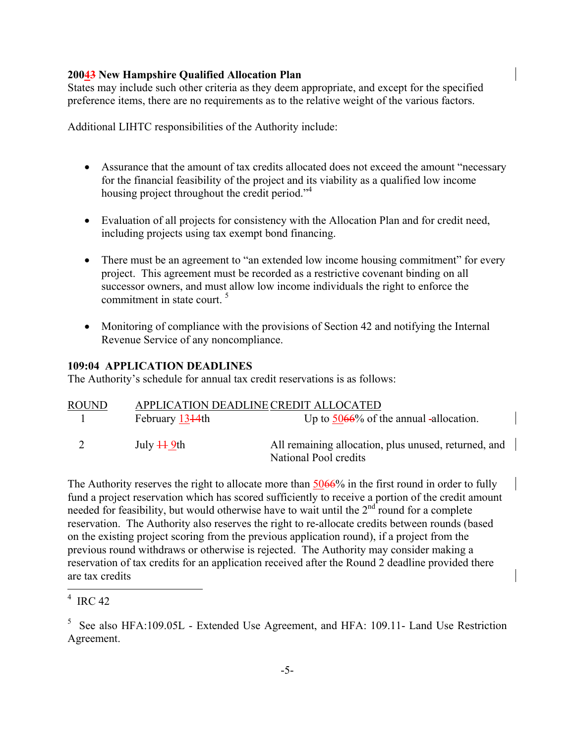States may include such other criteria as they deem appropriate, and except for the specified preference items, there are no requirements as to the relative weight of the various factors.

Additional LIHTC responsibilities of the Authority include:

- Assurance that the amount of tax credits allocated does not exceed the amount "necessary" for the financial feasibility of the project and its viability as a qualified low income housing project throughout the credit period."<sup>4</sup>
- Evaluation of all projects for consistency with the Allocation Plan and for credit need, including projects using tax exempt bond financing.
- There must be an agreement to "an extended low income housing commitment" for every project. This agreement must be recorded as a restrictive covenant binding on all successor owners, and must allow low income individuals the right to enforce the commitment in state court. [5](#page-10-1)
- Monitoring of compliance with the provisions of Section 42 and notifying the Internal Revenue Service of any noncompliance.

# **109:04 APPLICATION DEADLINES**

The Authority's schedule for annual tax credit reservations is as follows:

| ROUND |                             | APPLICATION DEADLINE CREDIT ALLOCATED                                         |
|-------|-----------------------------|-------------------------------------------------------------------------------|
|       | February 1344th             | Up to $5066\%$ of the annual -allocation.                                     |
|       | July $\ddagger\ddagger$ 9th | All remaining allocation, plus unused, returned, and<br>National Pool credits |

The Authority reserves the right to allocate more than  $5066\%$  in the first round in order to fully fund a project reservation which has scored sufficiently to receive a portion of the credit amount needed for feasibility, but would otherwise have to wait until the  $2<sup>nd</sup>$  round for a complete reservation. The Authority also reserves the right to re-allocate credits between rounds (based on the existing project scoring from the previous application round), if a project from the previous round withdraws or otherwise is rejected. The Authority may consider making a reservation of tax credits for an application received after the Round 2 deadline provided there are tax credits

<span id="page-10-0"></span> $4$  IRC 42

<span id="page-10-1"></span> $5$  See also HFA:109.05L - Extended Use Agreement, and HFA: 109.11- Land Use Restriction Agreement.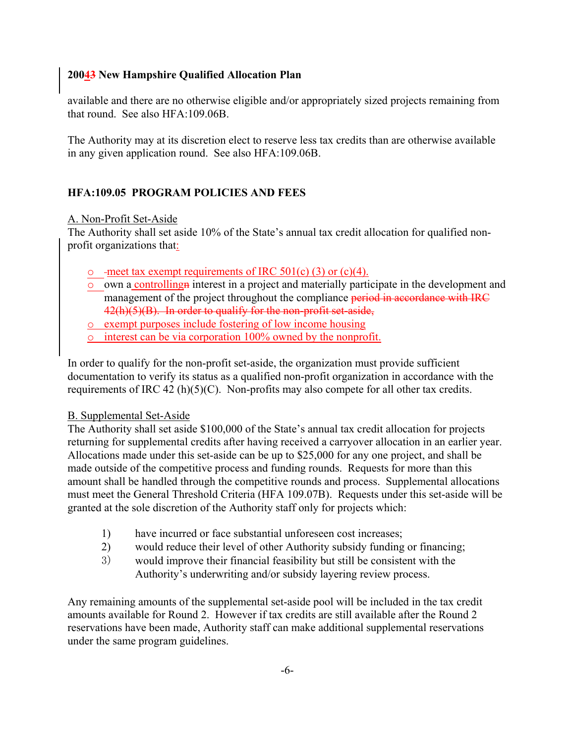available and there are no otherwise eligible and/or appropriately sized projects remaining from that round. See also HFA:109.06B.

The Authority may at its discretion elect to reserve less tax credits than are otherwise available in any given application round. See also HFA:109.06B.

# **HFA:109.05 PROGRAM POLICIES AND FEES**

# A. Non-Profit Set-Aside

The Authority shall set aside 10% of the State's annual tax credit allocation for qualified nonprofit organizations that:

- $\circ$  -meet tax exempt requirements of IRC 501(c) (3) or (c)(4).
- $\overline{\circ}$  own a controlling interest in a project and materially participate in the development and management of the project throughout the compliance period in accordance with IRC 42(h)(5)(B). In order to qualify for the non-profit set-aside,
- o exempt purposes include fostering of low income housing
- $\circ$  interest can be via corporation 100% owned by the nonprofit.

In order to qualify for the non-profit set-aside, the organization must provide sufficient documentation to verify its status as a qualified non-profit organization in accordance with the requirements of IRC 42 (h)(5)(C). Non-profits may also compete for all other tax credits.

# B. Supplemental Set-Aside

The Authority shall set aside \$100,000 of the State's annual tax credit allocation for projects returning for supplemental credits after having received a carryover allocation in an earlier year. Allocations made under this set-aside can be up to \$25,000 for any one project, and shall be made outside of the competitive process and funding rounds. Requests for more than this amount shall be handled through the competitive rounds and process. Supplemental allocations must meet the General Threshold Criteria (HFA 109.07B). Requests under this set-aside will be granted at the sole discretion of the Authority staff only for projects which:

- 1) have incurred or face substantial unforeseen cost increases;
- 2) would reduce their level of other Authority subsidy funding or financing;
- 3) would improve their financial feasibility but still be consistent with the Authority's underwriting and/or subsidy layering review process.

Any remaining amounts of the supplemental set-aside pool will be included in the tax credit amounts available for Round 2. However if tax credits are still available after the Round 2 reservations have been made, Authority staff can make additional supplemental reservations under the same program guidelines.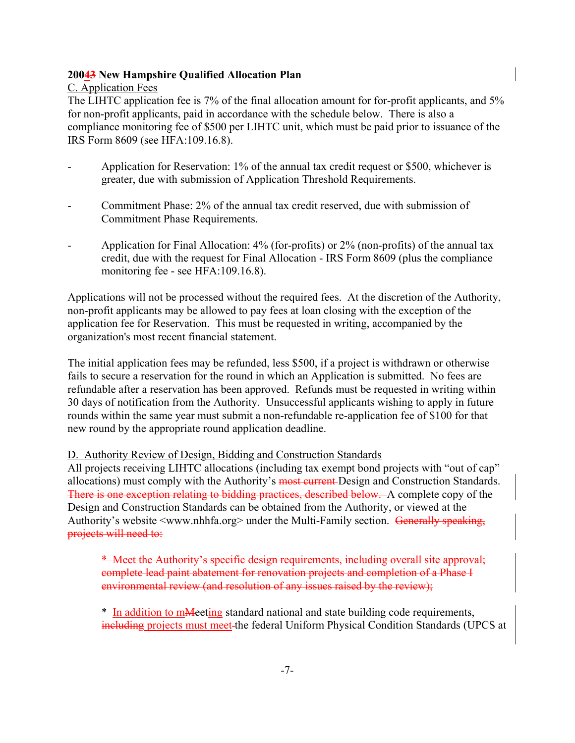C. Application Fees

The LIHTC application fee is 7% of the final allocation amount for for-profit applicants, and 5% for non-profit applicants, paid in accordance with the schedule below. There is also a compliance monitoring fee of \$500 per LIHTC unit, which must be paid prior to issuance of the IRS Form 8609 (see HFA:109.16.8).

- Application for Reservation: 1% of the annual tax credit request or \$500, whichever is greater, due with submission of Application Threshold Requirements.
- Commitment Phase: 2% of the annual tax credit reserved, due with submission of Commitment Phase Requirements.
- Application for Final Allocation: 4% (for-profits) or 2% (non-profits) of the annual tax credit, due with the request for Final Allocation - IRS Form 8609 (plus the compliance monitoring fee - see HFA:109.16.8).

Applications will not be processed without the required fees. At the discretion of the Authority, non-profit applicants may be allowed to pay fees at loan closing with the exception of the application fee for Reservation. This must be requested in writing, accompanied by the organization's most recent financial statement.

The initial application fees may be refunded, less \$500, if a project is withdrawn or otherwise fails to secure a reservation for the round in which an Application is submitted. No fees are refundable after a reservation has been approved. Refunds must be requested in writing within 30 days of notification from the Authority. Unsuccessful applicants wishing to apply in future rounds within the same year must submit a non-refundable re-application fee of \$100 for that new round by the appropriate round application deadline.

# D. Authority Review of Design, Bidding and Construction Standards

All projects receiving LIHTC allocations (including tax exempt bond projects with "out of cap" allocations) must comply with the Authority's most current Design and Construction Standards. There is one exception relating to bidding practices, described below. A complete copy of the Design and Construction Standards can be obtained from the Authority, or viewed at the Authority's website <www.nhhfa.org> under the Multi-Family section. Generally speaking, projects will need to:

\* Meet the Authority's specific design requirements, including overall site approval; complete lead paint abatement for renovation projects and completion of a Phase I environmental review (and resolution of any issues raised by the review);

\* In addition to mMeeting standard national and state building code requirements, including projects must meet the federal Uniform Physical Condition Standards (UPCS at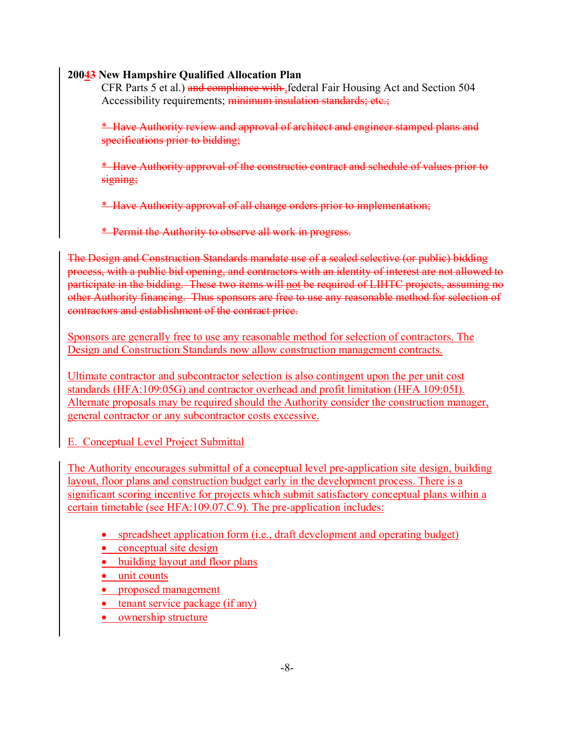CFR Parts 5 et al.) and compliance with federal Fair Housing Act and Section 504 Accessibility requirements; minimum insulation standards; etc.;

\* Have Authority review and approval of architect and engineer stamped plans and specifications prior to bidding;

\* Have Authority approval of the constructio contract and schedule of values prior to signing;

\* Have Authority approval of all change orders prior to implementation;

\* Permit the Authority to observe all work in progress.

The Design and Construction Standards mandate use of a sealed selective (or public) bidding process, with a public bid opening, and contractors with an identity of interest are not allowed to participate in the bidding. These two items will not be required of LIHTC projects, assuming no other Authority financing. Thus sponsors are free to use any reasonable method for selection of contractors and establishment of the contract price.

Sponsors are generally free to use any reasonable method for selection of contractors. The Design and Construction Standards now allow construction management contracts.

Ultimate contractor and subcontractor selection is also contingent upon the per unit cost standards (HFA:109:05G) and contractor overhead and profit limitation (HFA 109:05I). Alternate proposals may be required should the Authority consider the construction manager, general contractor or any subcontractor costs excessive.

E. Conceptual Level Project Submittal

The Authority encourages submittal of a conceptual level pre-application site design, building layout, floor plans and construction budget early in the development process. There is a significant scoring incentive for projects which submit satisfactory conceptual plans within a certain timetable (see HFA:109.07.C.9). The pre-application includes:

- spreadsheet application form (i.e., draft development and operating budget)
- conceptual site design
- building layout and floor plans
- unit counts
- proposed management
- tenant service package (if any)
- ownership structure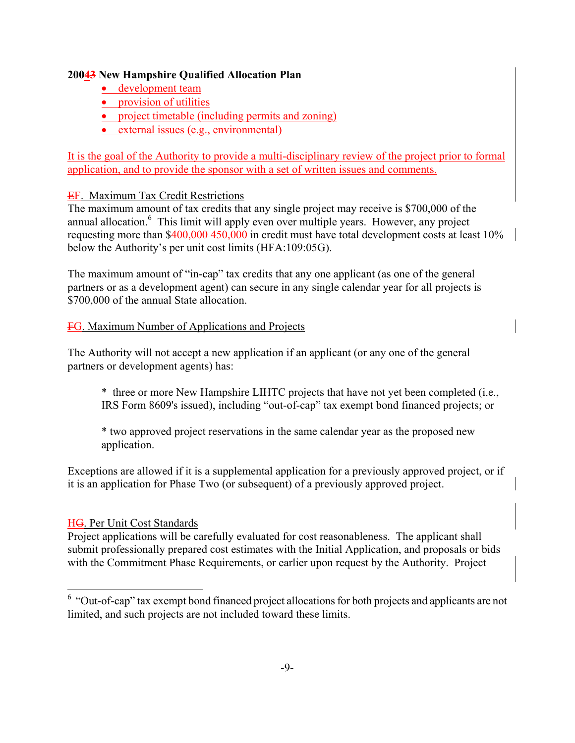- development team
- provision of utilities
- project timetable (including permits and zoning)
- external issues (e.g., environmental)

It is the goal of the Authority to provide a multi-disciplinary review of the project prior to formal application, and to provide the sponsor with a set of written issues and comments.

# EF. Maximum Tax Credit Restrictions

The maximum amount of tax credits that any single project may receive is \$700,000 of the annual allocation.<sup>[6](#page-14-0)</sup> This limit will apply even over multiple years. However, any project requesting more than \$400,000-450,000 in credit must have total development costs at least 10% below the Authority's per unit cost limits (HFA:109:05G).

The maximum amount of "in-cap" tax credits that any one applicant (as one of the general partners or as a development agent) can secure in any single calendar year for all projects is \$700,000 of the annual State allocation.

# FG. Maximum Number of Applications and Projects

The Authority will not accept a new application if an applicant (or any one of the general partners or development agents) has:

\* three or more New Hampshire LIHTC projects that have not yet been completed (i.e., IRS Form 8609's issued), including "out-of-cap" tax exempt bond financed projects; or

\* two approved project reservations in the same calendar year as the proposed new application.

Exceptions are allowed if it is a supplemental application for a previously approved project, or if it is an application for Phase Two (or subsequent) of a previously approved project.

# HG. Per Unit Cost Standards

Project applications will be carefully evaluated for cost reasonableness. The applicant shall submit professionally prepared cost estimates with the Initial Application, and proposals or bids with the Commitment Phase Requirements, or earlier upon request by the Authority. Project

<span id="page-14-0"></span><sup>6 &</sup>quot;Out-of-cap" tax exempt bond financed project allocations for both projects and applicants are not limited, and such projects are not included toward these limits.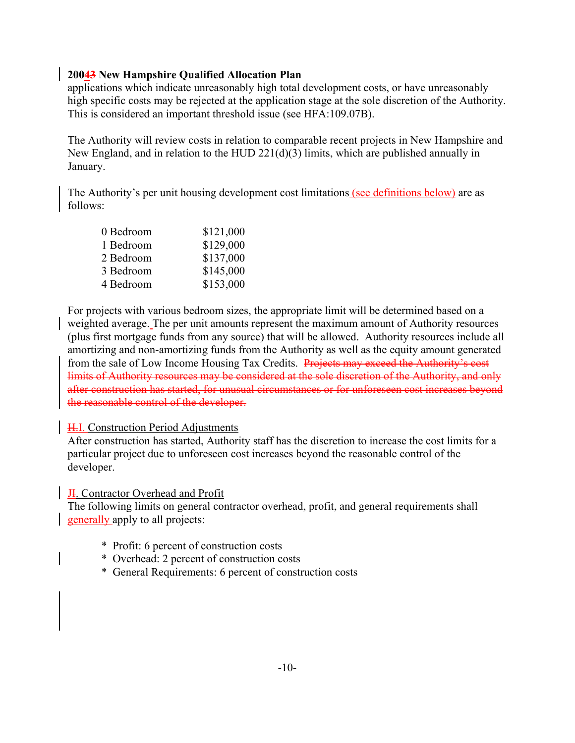applications which indicate unreasonably high total development costs, or have unreasonably high specific costs may be rejected at the application stage at the sole discretion of the Authority. This is considered an important threshold issue (see HFA:109.07B).

The Authority will review costs in relation to comparable recent projects in New Hampshire and New England, and in relation to the HUD 221(d)(3) limits, which are published annually in January.

The Authority's per unit housing development cost limitations (see definitions below) are as follows:

| \$121,000 |
|-----------|
| \$129,000 |
| \$137,000 |
| \$145,000 |
| \$153,000 |
|           |

For projects with various bedroom sizes, the appropriate limit will be determined based on a weighted average. The per unit amounts represent the maximum amount of Authority resources (plus first mortgage funds from any source) that will be allowed. Authority resources include all amortizing and non-amortizing funds from the Authority as well as the equity amount generated from the sale of Low Income Housing Tax Credits. Projects may exceed the Authority's cost limits of Authority resources may be considered at the sole discretion of the Authority, and only after construction has started, for unusual circumstances or for unforeseen cost increases beyond the reasonable control of the developer.

#### **H.I.** Construction Period Adjustments

After construction has started, Authority staff has the discretion to increase the cost limits for a particular project due to unforeseen cost increases beyond the reasonable control of the developer.

#### JI. Contractor Overhead and Profit

The following limits on general contractor overhead, profit, and general requirements shall generally apply to all projects:

- \* Profit: 6 percent of construction costs
- \* Overhead: 2 percent of construction costs
- \* General Requirements: 6 percent of construction costs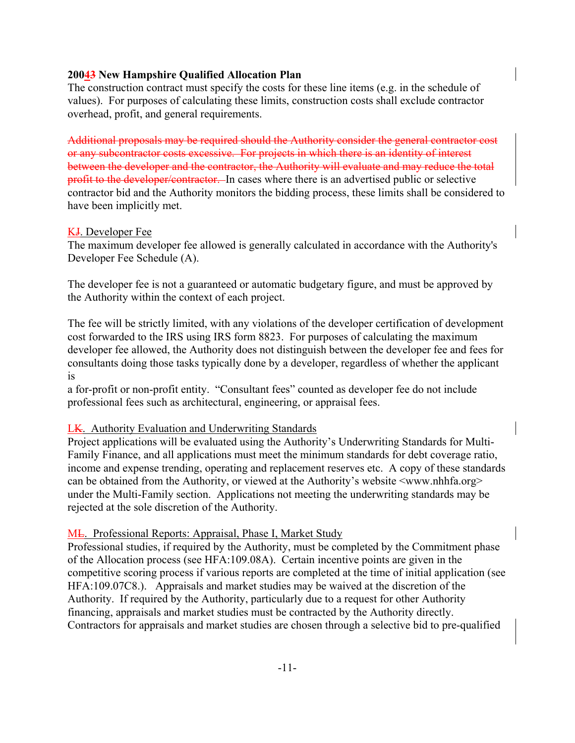The construction contract must specify the costs for these line items (e.g. in the schedule of values). For purposes of calculating these limits, construction costs shall exclude contractor overhead, profit, and general requirements.

Additional proposals may be required should the Authority consider the general contractor cost or any subcontractor costs excessive. For projects in which there is an identity of interest between the developer and the contractor, the Authority will evaluate and may reduce the total profit to the developer/contractor. In cases where there is an advertised public or selective contractor bid and the Authority monitors the bidding process, these limits shall be considered to have been implicitly met.

# KJ. Developer Fee

The maximum developer fee allowed is generally calculated in accordance with the Authority's Developer Fee Schedule (A).

The developer fee is not a guaranteed or automatic budgetary figure, and must be approved by the Authority within the context of each project.

The fee will be strictly limited, with any violations of the developer certification of development cost forwarded to the IRS using IRS form 8823. For purposes of calculating the maximum developer fee allowed, the Authority does not distinguish between the developer fee and fees for consultants doing those tasks typically done by a developer, regardless of whether the applicant is

a for-profit or non-profit entity. "Consultant fees" counted as developer fee do not include professional fees such as architectural, engineering, or appraisal fees.

# LK. Authority Evaluation and Underwriting Standards

Project applications will be evaluated using the Authority's Underwriting Standards for Multi-Family Finance, and all applications must meet the minimum standards for debt coverage ratio, income and expense trending, operating and replacement reserves etc. A copy of these standards can be obtained from the Authority, or viewed at the Authority's website  $\langle$ www.nhhfa.org> under the Multi-Family section. Applications not meeting the underwriting standards may be rejected at the sole discretion of the Authority.

#### ML. Professional Reports: Appraisal, Phase I, Market Study

Professional studies, if required by the Authority, must be completed by the Commitment phase of the Allocation process (see HFA:109.08A). Certain incentive points are given in the competitive scoring process if various reports are completed at the time of initial application (see HFA:109.07C8.). Appraisals and market studies may be waived at the discretion of the Authority. If required by the Authority, particularly due to a request for other Authority financing, appraisals and market studies must be contracted by the Authority directly. Contractors for appraisals and market studies are chosen through a selective bid to pre-qualified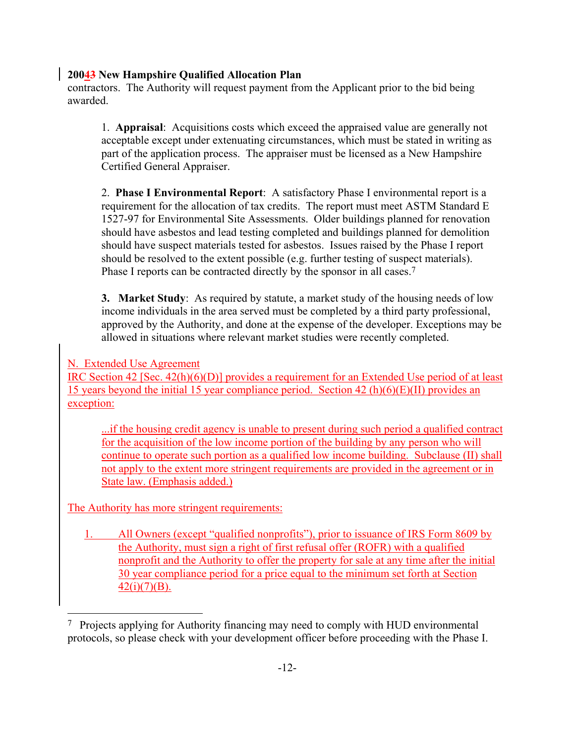contractors. The Authority will request payment from the Applicant prior to the bid being awarded.

1. **Appraisal**: Acquisitions costs which exceed the appraised value are generally not acceptable except under extenuating circumstances, which must be stated in writing as part of the application process. The appraiser must be licensed as a New Hampshire Certified General Appraiser.

2. **Phase I Environmental Report**: A satisfactory Phase I environmental report is a requirement for the allocation of tax credits. The report must meet ASTM Standard E 1527-97 for Environmental Site Assessments. Older buildings planned for renovation should have asbestos and lead testing completed and buildings planned for demolition should have suspect materials tested for asbestos. Issues raised by the Phase I report should be resolved to the extent possible (e.g. further testing of suspect materials). Phase I reports can be contracted directly by the sponsor in all cases.<sup>7</sup>

**3. Market Study**: As required by statute, a market study of the housing needs of low income individuals in the area served must be completed by a third party professional, approved by the Authority, and done at the expense of the developer. Exceptions may be allowed in situations where relevant market studies were recently completed.

# N. Extended Use Agreement

IRC Section 42 [Sec. 42(h)(6)(D)] provides a requirement for an Extended Use period of at least 15 years beyond the initial 15 year compliance period. Section 42 (h)(6)(E)(II) provides an exception:

...if the housing credit agency is unable to present during such period a qualified contract for the acquisition of the low income portion of the building by any person who will continue to operate such portion as a qualified low income building. Subclause (II) shall not apply to the extent more stringent requirements are provided in the agreement or in State law. (Emphasis added.)

The Authority has more stringent requirements:

1. All Owners (except "qualified nonprofits"), prior to issuance of IRS Form 8609 by the Authority, must sign a right of first refusal offer (ROFR) with a qualified nonprofit and the Authority to offer the property for sale at any time after the initial 30 year compliance period for a price equal to the minimum set forth at Section  $42(i)(7)(B)$ .

<span id="page-17-0"></span><sup>7</sup> Projects applying for Authority financing may need to comply with HUD environmental protocols, so please check with your development officer before proceeding with the Phase I.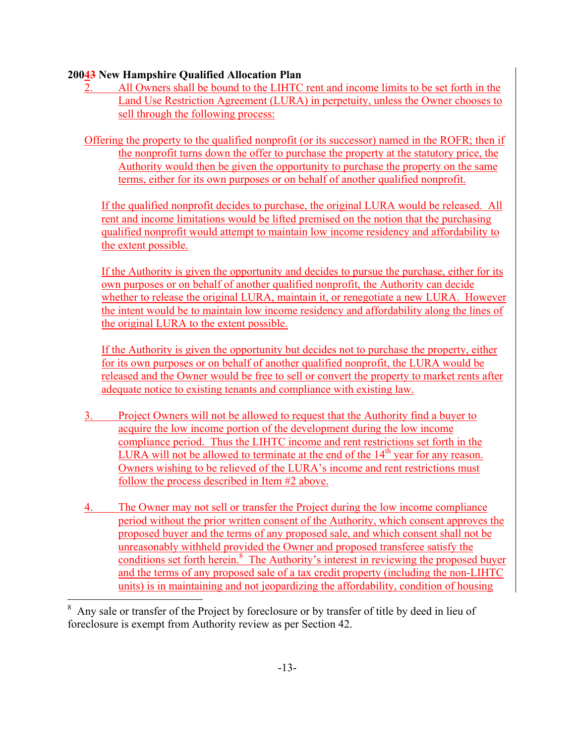- 2. All Owners shall be bound to the LIHTC rent and income limits to be set forth in the Land Use Restriction Agreement (LURA) in perpetuity, unless the Owner chooses to sell through the following process:
- Offering the property to the qualified nonprofit (or its successor) named in the ROFR; then if the nonprofit turns down the offer to purchase the property at the statutory price, the Authority would then be given the opportunity to purchase the property on the same terms, either for its own purposes or on behalf of another qualified nonprofit.

If the qualified nonprofit decides to purchase, the original LURA would be released. All rent and income limitations would be lifted premised on the notion that the purchasing qualified nonprofit would attempt to maintain low income residency and affordability to the extent possible.

If the Authority is given the opportunity and decides to pursue the purchase, either for its own purposes or on behalf of another qualified nonprofit, the Authority can decide whether to release the original LURA, maintain it, or renegotiate a new LURA. However the intent would be to maintain low income residency and affordability along the lines of the original LURA to the extent possible.

If the Authority is given the opportunity but decides not to purchase the property, either for its own purposes or on behalf of another qualified nonprofit, the LURA would be released and the Owner would be free to sell or convert the property to market rents after adequate notice to existing tenants and compliance with existing law.

- 3. Project Owners will not be allowed to request that the Authority find a buyer to acquire the low income portion of the development during the low income compliance period. Thus the LIHTC income and rent restrictions set forth in the LURA will not be allowed to terminate at the end of the  $14<sup>th</sup>$  year for any reason. Owners wishing to be relieved of the LURA's income and rent restrictions must follow the process described in Item #2 above.
- 4. The Owner may not sell or transfer the Project during the low income compliance period without the prior written consent of the Authority, which consent approves the proposed buyer and the terms of any proposed sale, and which consent shall not be unreasonably withheld provided the Owner and proposed transferee satisfy the conditions set forth herein.<sup>[8](#page-18-0)</sup> The Authority's interest in reviewing the proposed buyer and the terms of any proposed sale of a tax credit property (including the non-LIHTC units) is in maintaining and not jeopardizing the affordability, condition of housing

<span id="page-18-0"></span>Any sale or transfer of the Project by foreclosure or by transfer of title by deed in lieu of foreclosure is exempt from Authority review as per Section 42.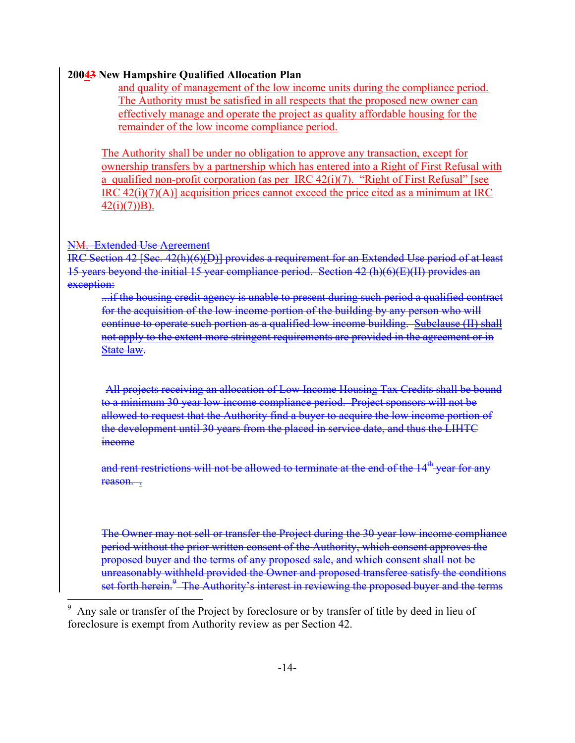and quality of management of the low income units during the compliance period. The Authority must be satisfied in all respects that the proposed new owner can effectively manage and operate the project as quality affordable housing for the remainder of the low income compliance period.

The Authority shall be under no obligation to approve any transaction, except for ownership transfers by a partnership which has entered into a Right of First Refusal with a qualified non-profit corporation (as per IRC  $42(i)(7)$ . "Right of First Refusal" [see IRC 42(i)(7)(A)] acquisition prices cannot exceed the price cited as a minimum at IRC  $42(i)(7)$ )B).

#### NM. Extended Use Agreement

IRC Section 42 [Sec. 42(h)(6)(D)] provides a requirement for an Extended Use period of at least 15 years beyond the initial 15 year compliance period. Section 42 (h)(6)(E)(II) provides an exception:

...if the housing credit agency is unable to present during such period a qualified contract for the acquisition of the low income portion of the building by any person who will continue to operate such portion as a qualified low income building. Subclause (II) shall not apply to the extent more stringent requirements are provided in the agreement or in State law.

All projects receiving an allocation of Low Income Housing Tax Credits shall be bound to a minimum 30 year low income compliance period. Project sponsors will not be allowed to request that the Authority find a buyer to acquire the low income portion of the development until 30 years from the placed in service date, and thus the LIHTC income

and rent restrictions will not be allowed to terminate at the end of the 14<sup>th</sup> year for any reason. .

The Owner may not sell or transfer the Project during the 30 year low income compliance period without the prior written consent of the Authority, which consent approves the proposed buyer and the terms of any proposed sale, and which consent shall not be unreasonably withheld provided the Owner and proposed transferee satisfy the conditions set forth herein.<sup>[9](#page-19-0)</sup> The Authority's interest in reviewing the proposed buyer and the terms

<span id="page-19-0"></span>Any sale or transfer of the Project by foreclosure or by transfer of title by deed in lieu of foreclosure is exempt from Authority review as per Section 42.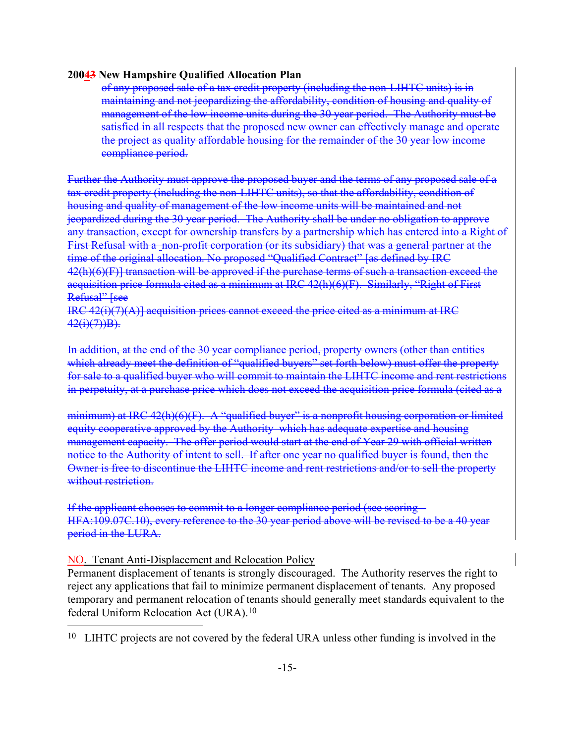<span id="page-20-0"></span>of any proposed sale of a tax credit property (including the non-LIHTC units) is in maintaining and not jeopardizing the affordability, condition of housing and quality of management of the low income units during the 30 year period. The Authority must be satisfied in all respects that the proposed new owner can effectively manage and operate the project as quality affordable housing for the remainder of the 30 year low income compliance period.

Further the Authority must approve the proposed buyer and the terms of any proposed sale of a tax credit property (including the non-LIHTC units), so that the affordability, condition of housing and quality of management of the low income units will be maintained and not jeopardized during the 30 year period. The Authority shall be under no obligation to approve any transaction, except for ownership transfers by a partnership which has entered into a Right of First Refusal with a non-profit corporation (or its subsidiary) that was a general partner at the time of the original allocation. No proposed "Qualified Contract" [as defined by IRC 42(h)(6)(F)] transaction will be approved if the purchase terms of such a transaction exceed the acquisition price formula cited as a minimum at IRC 42(h)(6)(F). Similarly, "Right of First Refusal" [see

 $IRC$  42(i)(7)(A)] acquisition prices cannot exceed the price cited as a minimum at IRC  $42(i)(7)$ )B).

In addition, at the end of the 30 year compliance period, property owners (other than entities which already meet the definition of "qualified buyers" set forth below) must offer the property for sale to a qualified buyer who will commit to maintain the LIHTC income and rent restrictions in perpetuity, at a purchase price which does not exceed the acquisition price formula (cited as a

minimum) at IRC 42(h)(6)(F). A "qualified buyer" is a nonprofit housing corporation or limited equity cooperative approved by the Authority which has adequate expertise and housing management capacity. The offer period would start at the end of Year 29 with official written notice to the Authority of intent to sell. If after one year no qualified buyer is found, then the Owner is free to discontinue the LIHTC income and rent restrictions and/or to sell the property without restriction-

If the applicant chooses to commit to a longer compliance period (see scoring – HFA:109.07C.10), every reference to the 30 year period above will be revised to be a 40 year period in the LURA.

#### NO. Tenant Anti-Displacement and Relocation Policy

Permanent displacement of tenants is strongly discouraged. The Authority reserves the right to reject any applications that fail to minimize permanent displacement of tenants. Any proposed temporary and permanent relocation of tenants should generally meet standards equivalent to the federal Uniform Relocation Act (URA)[.10](#page-20-0)

10 LIHTC projects are not covered by the federal URA unless other funding is involved in the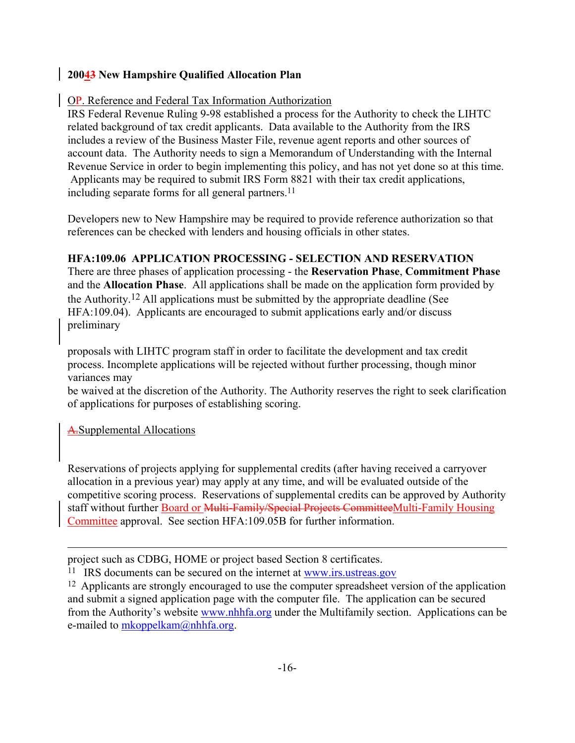#### OP. Reference and Federal Tax Information Authorization

IRS Federal Revenue Ruling 9-98 established a process for the Authority to check the LIHTC related background of tax credit applicants. Data available to the Authority from the IRS includes a review of the Business Master File, revenue agent reports and other sources of account data. The Authority needs to sign a Memorandum of Understanding with the Internal Revenue Service in order to begin implementing this policy, and has not yet done so at this time. Applicants may be required to submit IRS Form 8821 with their tax credit applications, including separate forms for all general partners.<sup>11</sup>

Developers new to New Hampshire may be required to provide reference authorization so that references can be checked with lenders and housing officials in other states.

# **HFA:109.06 APPLICATION PROCESSING - SELECTION AND RESERVATION**

There are three phases of application processing - the **Reservation Phase**, **Commitment Phase** and the **Allocation Phase**. All applications shall be made on the application form provided by the Authority.[12](#page-21-1) All applications must be submitted by the appropriate deadline (See HFA:109.04). Applicants are encouraged to submit applications early and/or discuss preliminary

proposals with LIHTC program staff in order to facilitate the development and tax credit process. Incomplete applications will be rejected without further processing, though minor variances may

be waived at the discretion of the Authority. The Authority reserves the right to seek clarification of applications for purposes of establishing scoring.

A.Supplemental Allocations

Reservations of projects applying for supplemental credits (after having received a carryover allocation in a previous year) may apply at any time, and will be evaluated outside of the competitive scoring process. Reservations of supplemental credits can be approved by Authority staff without further Board or Multi-Family/Special Projects CommitteeMulti-Family Housing Committee approval. See section HFA:109.05B for further information.

project such as CDBG, HOME or project based Section 8 certificates.

<span id="page-21-0"></span><sup>11</sup> IRS documents can be secured on the internet at www.irs.ustreas.gov

<span id="page-21-1"></span><sup>12</sup> Applicants are strongly encouraged to use the computer spreadsheet version of the application and submit a signed application page with the computer file. The application can be secured from the Authority's website www.nhhfa.org under the Multifamily section. Applications can be e-mailed to mkoppelkam@nhhfa.org.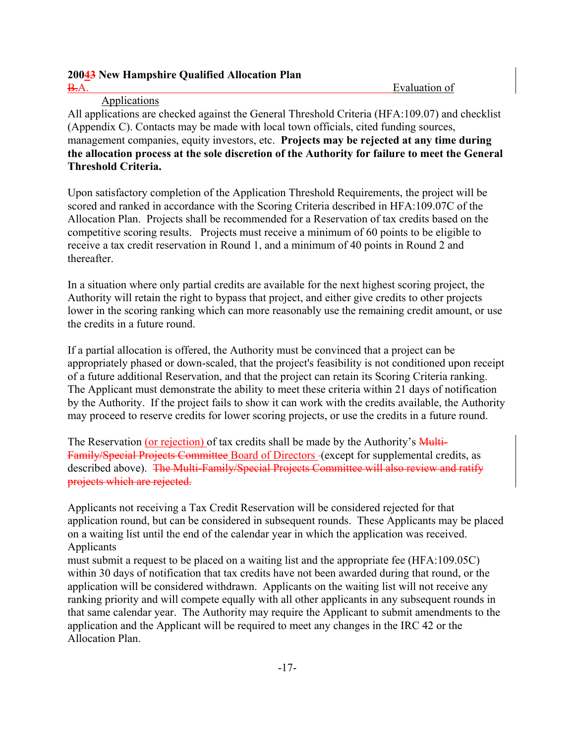# **20043 New Hampshire Qualified Allocation Plan**  B.A. Evaluation of

# Applications

**. Threshold Criteria.**  All applications are checked against the General Threshold Criteria (HFA:109.07) and checklist (Appendix C). Contacts may be made with local town officials, cited funding sources, management companies, equity investors, etc. **Projects may be rejected at any time during the allocation process at the sole discretion of the Authority for failure to meet the General** 

Upon satisfactory completion of the Application Threshold Requirements, the project will be scored and ranked in accordance with the Scoring Criteria described in HFA:109.07C of the Allocation Plan. Projects shall be recommended for a Reservation of tax credits based on the competitive scoring results. Projects must receive a minimum of 60 points to be eligible to receive a tax credit reservation in Round 1, and a minimum of 40 points in Round 2 and thereafter.

In a situation where only partial credits are available for the next highest scoring project, the Authority will retain the right to bypass that project, and either give credits to other projects lower in the scoring ranking which can more reasonably use the remaining credit amount, or use the credits in a future round.

If a partial allocation is offered, the Authority must be convinced that a project can be appropriately phased or down-scaled, that the project's feasibility is not conditioned upon receipt of a future additional Reservation, and that the project can retain its Scoring Criteria ranking. The Applicant must demonstrate the ability to meet these criteria within 21 days of notification by the Authority. If the project fails to show it can work with the credits available, the Authority may proceed to reserve credits for lower scoring projects, or use the credits in a future round.

The Reservation (or rejection) of tax credits shall be made by the Authority's Multi-Family/Special Projects Committee Board of Directors (except for supplemental credits, as described above). The Multi-Family/Special Projects Committee will also review and ratify projects which are rejected.

Applicants not receiving a Tax Credit Reservation will be considered rejected for that application round, but can be considered in subsequent rounds. These Applicants may be placed on a waiting list until the end of the calendar year in which the application was received. Applicants

must submit a request to be placed on a waiting list and the appropriate fee (HFA:109.05C) within 30 days of notification that tax credits have not been awarded during that round, or the application will be considered withdrawn. Applicants on the waiting list will not receive any ranking priority and will compete equally with all other applicants in any subsequent rounds in that same calendar year. The Authority may require the Applicant to submit amendments to the application and the Applicant will be required to meet any changes in the IRC 42 or the Allocation Plan.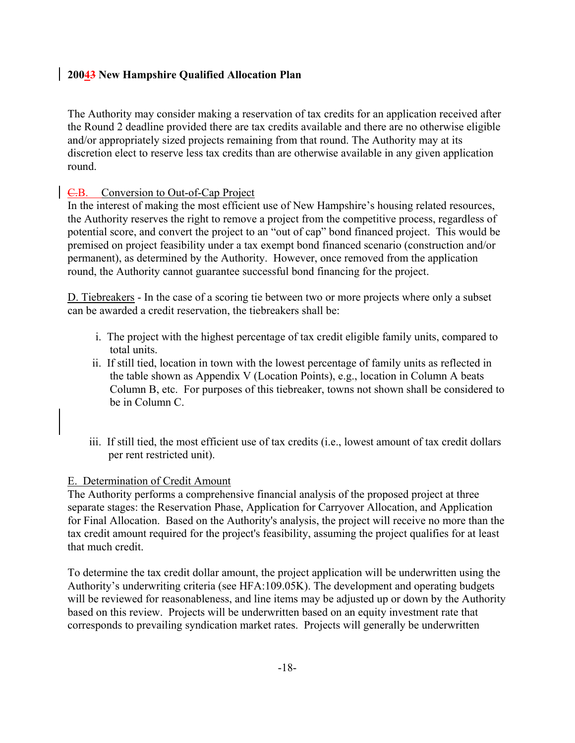The Authority may consider making a reservation of tax credits for an application received after the Round 2 deadline provided there are tax credits available and there are no otherwise eligible and/or appropriately sized projects remaining from that round. The Authority may at its discretion elect to reserve less tax credits than are otherwise available in any given application round.

# C.B. Conversion to Out-of-Cap Project

In the interest of making the most efficient use of New Hampshire's housing related resources, the Authority reserves the right to remove a project from the competitive process, regardless of potential score, and convert the project to an "out of cap" bond financed project. This would be premised on project feasibility under a tax exempt bond financed scenario (construction and/or permanent), as determined by the Authority. However, once removed from the application round, the Authority cannot guarantee successful bond financing for the project.

D. Tiebreakers - In the case of a scoring tie between two or more projects where only a subset can be awarded a credit reservation, the tiebreakers shall be:

- i. The project with the highest percentage of tax credit eligible family units, compared to total units.
- ii. If still tied, location in town with the lowest percentage of family units as reflected in the table shown as Appendix V (Location Points), e.g., location in Column A beats Column B, etc. For purposes of this tiebreaker, towns not shown shall be considered to be in Column C.
- iii. If still tied, the most efficient use of tax credits (i.e., lowest amount of tax credit dollars per rent restricted unit).

# E. Determination of Credit Amount

The Authority performs a comprehensive financial analysis of the proposed project at three separate stages: the Reservation Phase, Application for Carryover Allocation, and Application for Final Allocation. Based on the Authority's analysis, the project will receive no more than the tax credit amount required for the project's feasibility, assuming the project qualifies for at least that much credit.

To determine the tax credit dollar amount, the project application will be underwritten using the Authority's underwriting criteria (see HFA:109.05K). The development and operating budgets will be reviewed for reasonableness, and line items may be adjusted up or down by the Authority based on this review. Projects will be underwritten based on an equity investment rate that corresponds to prevailing syndication market rates. Projects will generally be underwritten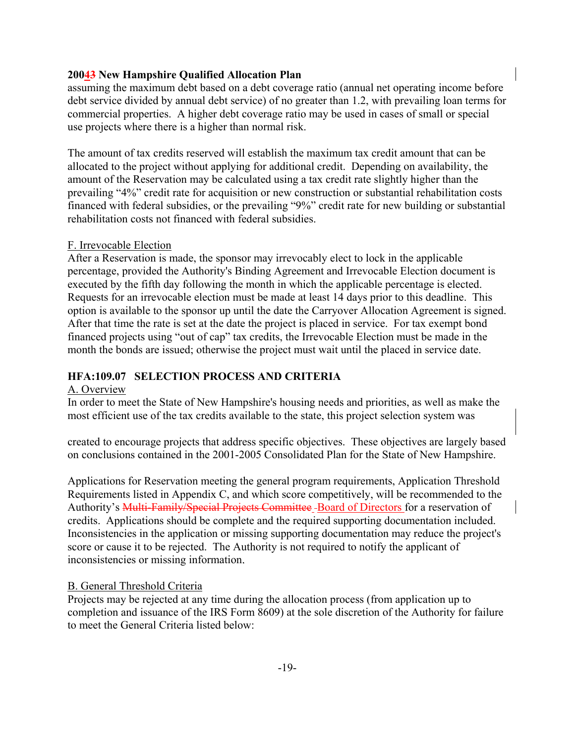assuming the maximum debt based on a debt coverage ratio (annual net operating income before debt service divided by annual debt service) of no greater than 1.2, with prevailing loan terms for commercial properties. A higher debt coverage ratio may be used in cases of small or special use projects where there is a higher than normal risk.

The amount of tax credits reserved will establish the maximum tax credit amount that can be allocated to the project without applying for additional credit. Depending on availability, the amount of the Reservation may be calculated using a tax credit rate slightly higher than the prevailing "4%" credit rate for acquisition or new construction or substantial rehabilitation costs financed with federal subsidies, or the prevailing "9%" credit rate for new building or substantial rehabilitation costs not financed with federal subsidies.

#### F. Irrevocable Election

After a Reservation is made, the sponsor may irrevocably elect to lock in the applicable percentage, provided the Authority's Binding Agreement and Irrevocable Election document is executed by the fifth day following the month in which the applicable percentage is elected. Requests for an irrevocable election must be made at least 14 days prior to this deadline. This option is available to the sponsor up until the date the Carryover Allocation Agreement is signed. After that time the rate is set at the date the project is placed in service. For tax exempt bond financed projects using "out of cap" tax credits, the Irrevocable Election must be made in the month the bonds are issued; otherwise the project must wait until the placed in service date.

# **HFA:109.07 SELECTION PROCESS AND CRITERIA**

# A. Overview

In order to meet the State of New Hampshire's housing needs and priorities, as well as make the most efficient use of the tax credits available to the state, this project selection system was

created to encourage projects that address specific objectives. These objectives are largely based on conclusions contained in the 2001-2005 Consolidated Plan for the State of New Hampshire.

. inconsistencies or missing information. Applications for Reservation meeting the general program requirements, Application Threshold Requirements listed in Appendix C, and which score competitively, will be recommended to the Authority's Multi-Family/Special Projects Committee -Board of Directors for a reservation of credits. Applications should be complete and the required supporting documentation included. Inconsistencies in the application or missing supporting documentation may reduce the project's score or cause it to be rejected. The Authority is not required to notify the applicant of

# B. General Threshold Criteria

Projects may be rejected at any time during the allocation process (from application up to completion and issuance of the IRS Form 8609) at the sole discretion of the Authority for failure to meet the General Criteria listed below: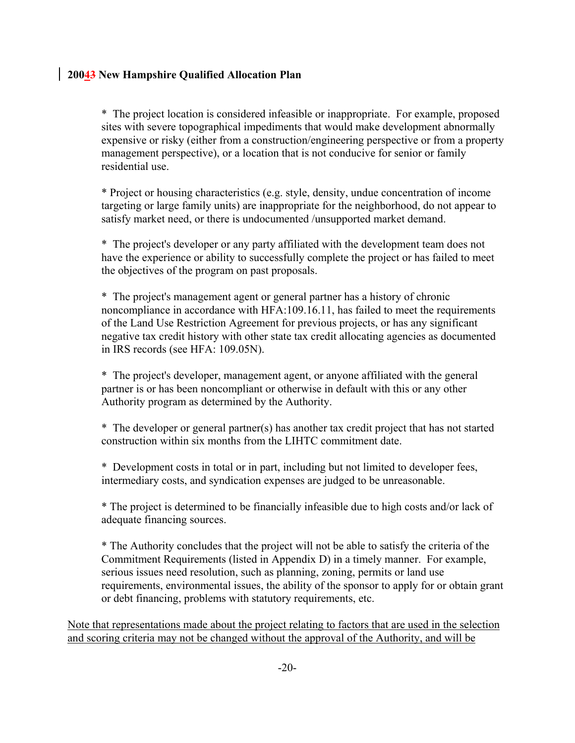\* The project location is considered infeasible or inappropriate. For example, proposed sites with severe topographical impediments that would make development abnormally expensive or risky (either from a construction/engineering perspective or from a property management perspective), or a location that is not conducive for senior or family residential use.

\* Project or housing characteristics (e.g. style, density, undue concentration of income targeting or large family units) are inappropriate for the neighborhood, do not appear to satisfy market need, or there is undocumented /unsupported market demand.

\* The project's developer or any party affiliated with the development team does not have the experience or ability to successfully complete the project or has failed to meet the objectives of the program on past proposals.

\* The project's management agent or general partner has a history of chronic noncompliance in accordance with HFA:109.16.11, has failed to meet the requirements of the Land Use Restriction Agreement for previous projects, or has any significant negative tax credit history with other state tax credit allocating agencies as documented in IRS records (see HFA: 109.05N).

\* The project's developer, management agent, or anyone affiliated with the general partner is or has been noncompliant or otherwise in default with this or any other Authority program as determined by the Authority.

\* The developer or general partner(s) has another tax credit project that has not started construction within six months from the LIHTC commitment date.

\* Development costs in total or in part, including but not limited to developer fees, intermediary costs, and syndication expenses are judged to be unreasonable.

\* The project is determined to be financially infeasible due to high costs and/or lack of adequate financing sources.

\* The Authority concludes that the project will not be able to satisfy the criteria of the Commitment Requirements (listed in Appendix D) in a timely manner. For example, serious issues need resolution, such as planning, zoning, permits or land use requirements, environmental issues, the ability of the sponsor to apply for or obtain grant or debt financing, problems with statutory requirements, etc.

Note that representations made about the project relating to factors that are used in the selection and scoring criteria may not be changed without the approval of the Authority, and will be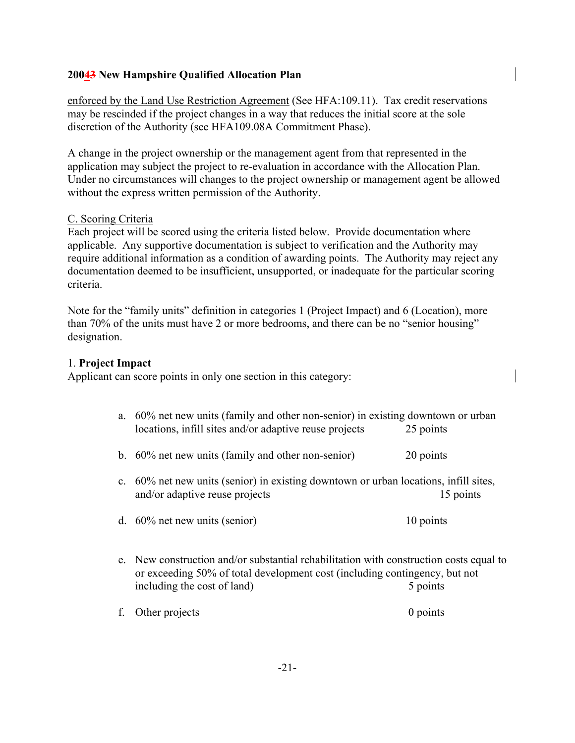enforced by the Land Use Restriction Agreement (See HFA:109.11). Tax credit reservations may be rescinded if the project changes in a way that reduces the initial score at the sole discretion of the Authority (see HFA109.08A Commitment Phase).

A change in the project ownership or the management agent from that represented in the application may subject the project to re-evaluation in accordance with the Allocation Plan. Under no circumstances will changes to the project ownership or management agent be allowed without the express written permission of the Authority.

#### C. Scoring Criteria

Each project will be scored using the criteria listed below. Provide documentation where applicable. Any supportive documentation is subject to verification and the Authority may require additional information as a condition of awarding points. The Authority may reject any documentation deemed to be insufficient, unsupported, or inadequate for the particular scoring criteria.

Note for the "family units" definition in categories 1 (Project Impact) and 6 (Location), more than 70% of the units must have 2 or more bedrooms, and there can be no "senior housing" designation.

#### 1. **Project Impact**

Applicant can score points in only one section in this category:

- a. 60% net new units (family and other non-senior) in existing downtown or urban locations, infill sites and/or adaptive reuse projects 25 points
- b. 60% net new units (family and other non-senior) 20 points
- c. 60% net new units (senior) in existing downtown or urban locations, infill sites, and/or adaptive reuse projects 15 points
- d. 60% net new units (senior) 10 points
- e. New construction and/or substantial rehabilitation with construction costs equal to or exceeding 50% of total development cost (including contingency, but not including the cost of land) 5 points
- f. Other projects 0 points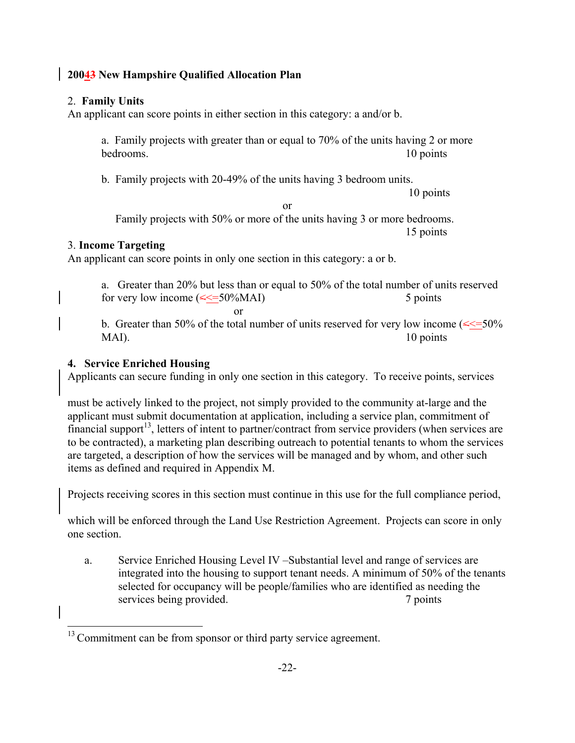# 2. **Family Units**

An applicant can score points in either section in this category: a and/or b.

a. Family projects with greater than or equal to 70% of the units having 2 or more bedrooms. 10 points

b. Family projects with 20-49% of the units having 3 bedroom units.

10 points or

Family projects with 50% or more of the units having 3 or more bedrooms. 15 points

# 3. **Income Targeting**

An applicant can score points in only one section in this category: a or b.

a. Greater than 20% but less than or equal to 50% of the total number of units reserved for very low income  $(\leq 50\% MAI)$  5 points

or

b. Greater than 50% of the total number of units reserved for very low income  $(\leq 50\%$ MAI). 10 points

# **4. Service Enriched Housing**

Applicants can secure funding in only one section in this category. To receive points, services

must be actively linked to the project, not simply provided to the community at-large and the applicant must submit documentation at application, including a service plan, commitment of financial support<sup>13</sup>, letters of intent to partner/contract from service providers (when services are to be contracted), a marketing plan describing outreach to potential tenants to whom the services are targeted, a description of how the services will be managed and by whom, and other such items as defined and required in Appendix M.

Projects receiving scores in this section must continue in this use for the full compliance period,

which will be enforced through the Land Use Restriction Agreement. Projects can score in only one section.

a. Service Enriched Housing Level IV –Substantial level and range of services are integrated into the housing to support tenant needs. A minimum of 50% of the tenants selected for occupancy will be people/families who are identified as needing the services being provided. 7 points

<span id="page-27-0"></span><sup>&</sup>lt;sup>13</sup> Commitment can be from sponsor or third party service agreement.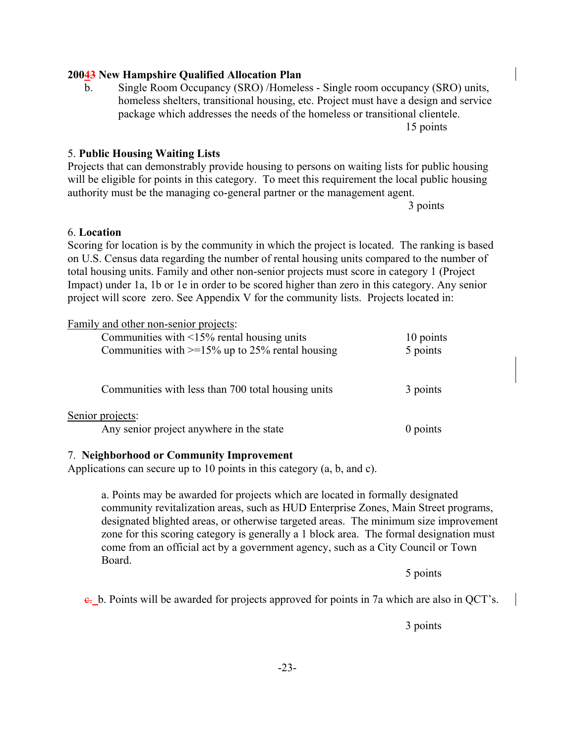#### project will score zero. See Appendix V for the community lists. Projects located in:

| Family and other non-senior projects:                        |           |
|--------------------------------------------------------------|-----------|
| Communities with $\leq$ 15% rental housing units             | 10 points |
| Communities with $>=15\%$ up to 25% rental housing           | 5 points  |
| Communities with less than 700 total housing units           | 3 points  |
| Senior projects:<br>Any senior project anywhere in the state | 0 points  |

#### 7. **Neighborhood or Community Improvement**

Applications can secure up to 10 points in this category (a, b, and c).

a. Points may be awarded for projects which are located in formally designated community revitalization areas, such as HUD Enterprise Zones, Main Street programs, designated blighted areas, or otherwise targeted areas. The minimum size improvement zone for this scoring category is generally a 1 block area. The formal designation must come from an official act by a government agency, such as a City Council or Town Board.

5 points

 $\epsilon$ . b. Points will be awarded for projects approved for points in 7a which are also in OCT's.

-23-

3 points

b. Single Room Occupancy (SRO) /Homeless - Single room occupancy (SRO) units,

homeless shelters, transitional housing, etc. Project must have a design and service package which addresses the needs of the homeless or transitional clientele.

15 points

5. **Public Housing Waiting Lists**  Projects that can demonstrably provide housing to persons on waiting lists for public housing will be eligible for points in this category. To meet this requirement the local public housing authority must be the managing co-general partner or the management agent.

Scoring for location is by the community in which the project is located. The ranking is based on U.S. Census data regarding the number of rental housing units compared to the number of total housing units. Family and other non-senior projects must score in category 1 (Project Impact) under 1a, 1b or 1e in order to be scored higher than zero in this category. Any senior

3 points

#### 6. **Location**

# **20043 New Hampshire Qualified Allocation Plan**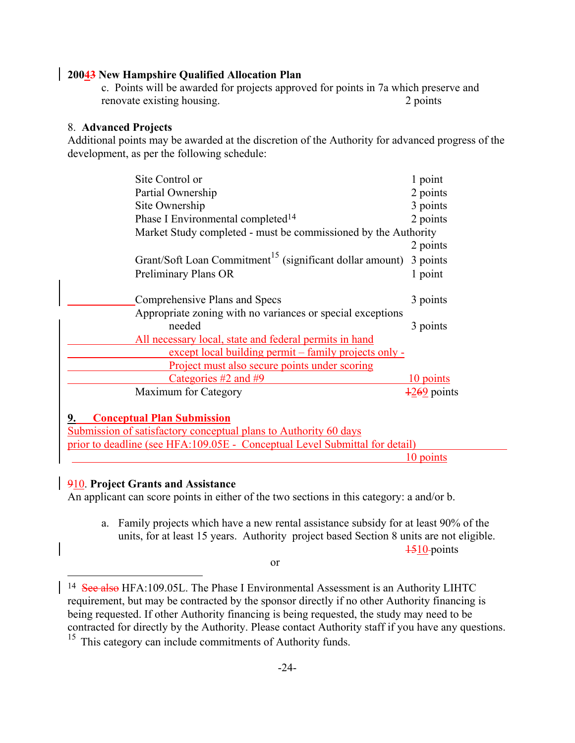c. Points will be awarded for projects approved for points in 7a which preserve and renovate existing housing. 2 points

#### 8. **Advanced Projects**

Additional points may be awarded at the discretion of the Authority for advanced progress of the development, as per the following schedule:

| Site Control or                                                      | 1 point                 |
|----------------------------------------------------------------------|-------------------------|
| Partial Ownership                                                    | 2 points                |
| Site Ownership                                                       | 3 points                |
| Phase I Environmental completed <sup>14</sup>                        | 2 points                |
| Market Study completed - must be commissioned by the Authority       |                         |
|                                                                      | 2 points                |
| Grant/Soft Loan Commitment <sup>15</sup> (significant dollar amount) | 3 points                |
| <b>Preliminary Plans OR</b>                                          | 1 point                 |
|                                                                      |                         |
| Comprehensive Plans and Specs                                        | 3 points                |
| Appropriate zoning with no variances or special exceptions           |                         |
| needed                                                               | 3 points                |
| All necessary local, state and federal permits in hand               |                         |
| except local building permit – family projects only -                |                         |
| Project must also secure points under scoring                        |                         |
| Categories $#2$ and $#9$                                             | 10 points               |
| Maximum for Category                                                 | $\frac{1269}{2}$ points |

#### **9. Conceptual Plan Submission**

Submission of satisfactory conceptual plans to Authority 60 days prior to deadline (see HFA:109.05E - Conceptual Level Submittal for detail) 10 points

#### 910. **Project Grants and Assistance**

An applicant can score points in either of the two sections in this category: a and/or b.

a. Family projects which have a new rental assistance subsidy for at least 90% of the units, for at least 15 years. Authority project based Section 8 units are not eligible.  $\frac{1510}{2}$  points

or

<span id="page-29-0"></span><sup>&</sup>lt;sup>14</sup> See also HFA:109.05L. The Phase I Environmental Assessment is an Authority LIHTC requirement, but may be contracted by the sponsor directly if no other Authority financing is being requested. If other Authority financing is being requested, the study may need to be contracted for directly by the Authority. Please contact Authority staff if you have any questions.

<span id="page-29-1"></span><sup>&</sup>lt;sup>15</sup> This category can include commitments of Authority funds.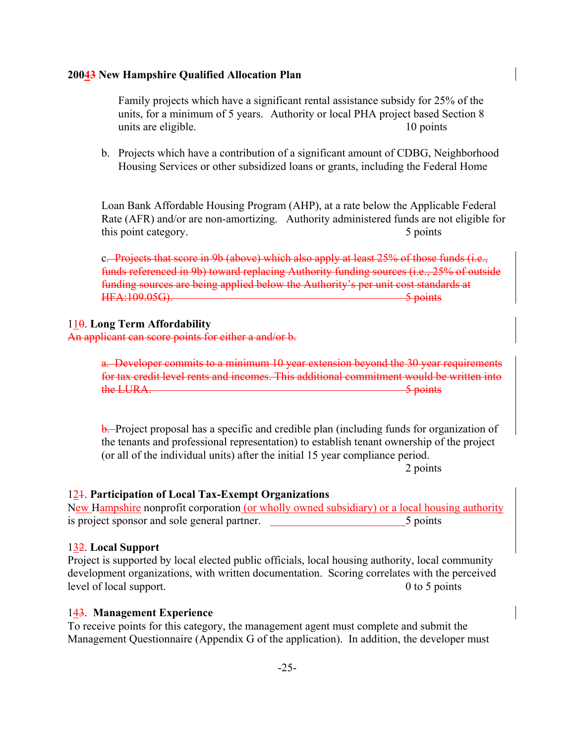Family projects which have a significant rental assistance subsidy for 25% of the units, for a minimum of 5 years. Authority or local PHA project based Section 8 units are eligible. 10 points

b. Projects which have a contribution of a significant amount of CDBG, Neighborhood Housing Services or other subsidized loans or grants, including the Federal Home

Loan Bank Affordable Housing Program (AHP), at a rate below the Applicable Federal Rate (AFR) and/or are non-amortizing. Authority administered funds are not eligible for this point category. 5 points

c. Projects that score in 9b (above) which also apply at least 25% of those funds (i.e., funds referenced in 9b) toward replacing Authority funding sources (i.e., 25% of outside funding sources are being applied below the Authority's per unit cost standards at HFA:109.05G). 5 points 5 points

#### 110. **Long Term Affordability**

An applicant can score points for either a and/or b.

a. Developer commits to a minimum 10 year extension beyond the 30 year requirements for tax credit level rents and incomes. This additional commitment would be written into the LURA. 5 points

**b.** Project proposal has a specific and credible plan (including funds for organization of the tenants and professional representation) to establish tenant ownership of the project (or all of the individual units) after the initial 15 year compliance period.

2 points

#### 121. **Participation of Local Tax-Exempt Organizations**

New Hampshire nonprofit corporation (or wholly owned subsidiary) or a local housing authority is project sponsor and sole general partner. 5 points

#### 132. **Local Support**

Project is supported by local elected public officials, local housing authority, local community development organizations, with written documentation. Scoring correlates with the perceived level of local support. 0 to 5 points

#### 143. **Management Experience**

To receive points for this category, the management agent must complete and submit the Management Questionnaire (Appendix G of the application). In addition, the developer must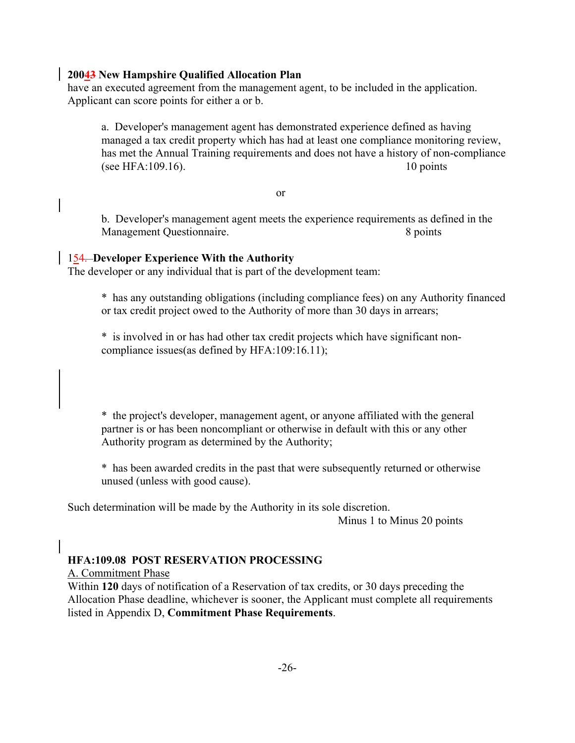have an executed agreement from the management agent, to be included in the application. Applicant can score points for either a or b.

a. Developer's management agent has demonstrated experience defined as having managed a tax credit property which has had at least one compliance monitoring review, has met the Annual Training requirements and does not have a history of non-compliance (see HFA:109.16). 10 points

or

b. Developer's management agent meets the experience requirements as defined in the Management Questionnaire. 8 points

#### 154. **Developer Experience With the Authority**

The developer or any individual that is part of the development team:

\* has any outstanding obligations (including compliance fees) on any Authority financed or tax credit project owed to the Authority of more than 30 days in arrears;

\* is involved in or has had other tax credit projects which have significant noncompliance issues(as defined by HFA:109:16.11);

\* the project's developer, management agent, or anyone affiliated with the general partner is or has been noncompliant or otherwise in default with this or any other Authority program as determined by the Authority;

\* has been awarded credits in the past that were subsequently returned or otherwise unused (unless with good cause).

Such determination will be made by the Authority in its sole discretion.

Minus 1 to Minus 20 points

# **HFA:109.08 POST RESERVATION PROCESSING**

A. Commitment Phase

Within **120** days of notification of a Reservation of tax credits, or 30 days preceding the Allocation Phase deadline, whichever is sooner, the Applicant must complete all requirements listed in Appendix D, **Commitment Phase Requirements**.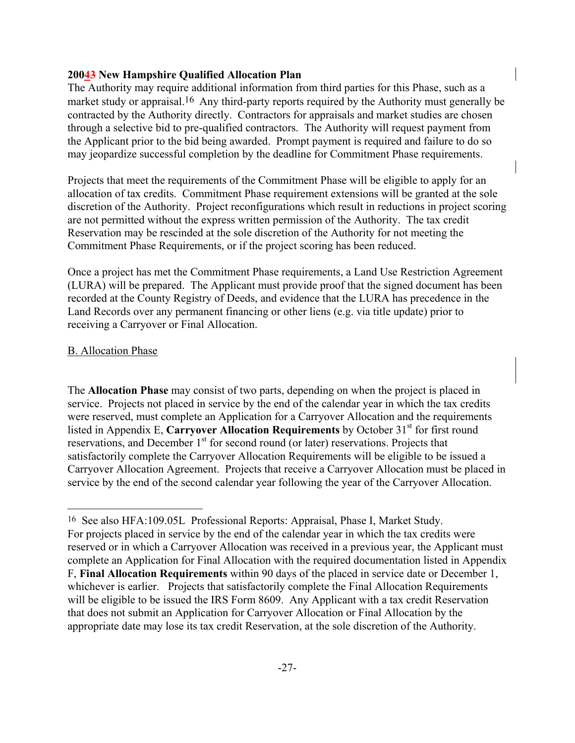The Authority may require additional information from third parties for this Phase, such as a market study or appraisal.<sup>[16](#page-32-0)</sup> Any third-party reports required by the Authority must generally be contracted by the Authority directly. Contractors for appraisals and market studies are chosen through a selective bid to pre-qualified contractors. The Authority will request payment from the Applicant prior to the bid being awarded. Prompt payment is required and failure to do so may jeopardize successful completion by the deadline for Commitment Phase requirements.

Projects that meet the requirements of the Commitment Phase will be eligible to apply for an allocation of tax credits. Commitment Phase requirement extensions will be granted at the sole discretion of the Authority. Project reconfigurations which result in reductions in project scoring are not permitted without the express written permission of the Authority. The tax credit Reservation may be rescinded at the sole discretion of the Authority for not meeting the Commitment Phase Requirements, or if the project scoring has been reduced.

Once a project has met the Commitment Phase requirements, a Land Use Restriction Agreement (LURA) will be prepared. The Applicant must provide proof that the signed document has been recorded at the County Registry of Deeds, and evidence that the LURA has precedence in the Land Records over any permanent financing or other liens (e.g. via title update) prior to receiving a Carryover or Final Allocation.

#### B. Allocation Phase

The **Allocation Phase** may consist of two parts, depending on when the project is placed in service. Projects not placed in service by the end of the calendar year in which the tax credits were reserved, must complete an Application for a Carryover Allocation and the requirements listed in Appendix E, Carryover Allocation Requirements by October 31<sup>st</sup> for first round reservations, and December  $1<sup>st</sup>$  for second round (or later) reservations. Projects that satisfactorily complete the Carryover Allocation Requirements will be eligible to be issued a Carryover Allocation Agreement. Projects that receive a Carryover Allocation must be placed in service by the end of the second calendar year following the year of the Carryover Allocation.

<span id="page-32-0"></span><sup>16</sup> See also HFA:109.05L Professional Reports: Appraisal, Phase I, Market Study. For projects placed in service by the end of the calendar year in which the tax credits were reserved or in which a Carryover Allocation was received in a previous year, the Applicant must complete an Application for Final Allocation with the required documentation listed in Appendix F, **Final Allocation Requirements** within 90 days of the placed in service date or December 1, whichever is earlier. Projects that satisfactorily complete the Final Allocation Requirements will be eligible to be issued the IRS Form 8609. Any Applicant with a tax credit Reservation that does not submit an Application for Carryover Allocation or Final Allocation by the appropriate date may lose its tax credit Reservation, at the sole discretion of the Authority.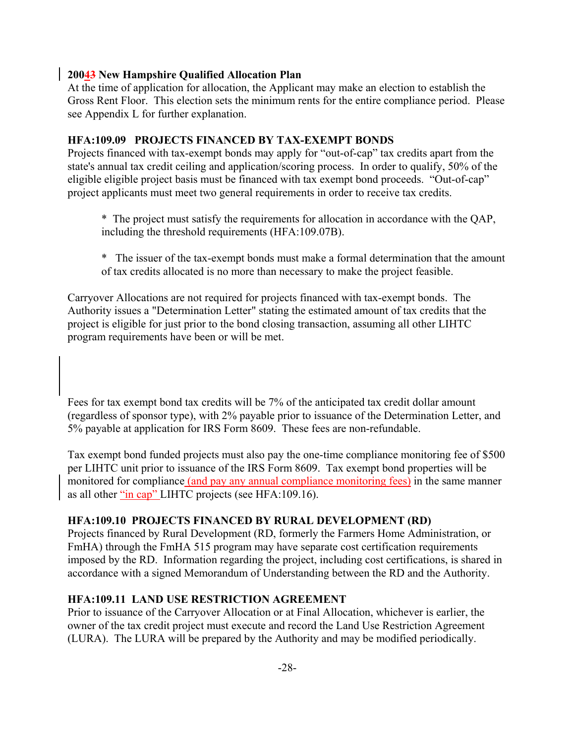At the time of application for allocation, the Applicant may make an election to establish the Gross Rent Floor. This election sets the minimum rents for the entire compliance period. Please see Appendix L for further explanation.

#### **HFA:109.09 PROJECTS FINANCED BY TAX-EXEMPT BONDS**

Projects financed with tax-exempt bonds may apply for "out-of-cap" tax credits apart from the state's annual tax credit ceiling and application/scoring process. In order to qualify, 50% of the eligible eligible project basis must be financed with tax exempt bond proceeds. "Out-of-cap" project applicants must meet two general requirements in order to receive tax credits.

\* The project must satisfy the requirements for allocation in accordance with the QAP, including the threshold requirements (HFA:109.07B).

\* The issuer of the tax-exempt bonds must make a formal determination that the amount of tax credits allocated is no more than necessary to make the project feasible.

Carryover Allocations are not required for projects financed with tax-exempt bonds. The Authority issues a "Determination Letter" stating the estimated amount of tax credits that the project is eligible for just prior to the bond closing transaction, assuming all other LIHTC program requirements have been or will be met.

Fees for tax exempt bond tax credits will be 7% of the anticipated tax credit dollar amount (regardless of sponsor type), with 2% payable prior to issuance of the Determination Letter, and 5% payable at application for IRS Form 8609. These fees are non-refundable.

Tax exempt bond funded projects must also pay the one-time compliance monitoring fee of \$500 per LIHTC unit prior to issuance of the IRS Form 8609. Tax exempt bond properties will be monitored for compliance (and pay any annual compliance monitoring fees) in the same manner as all other "in cap" LIHTC projects (see HFA:109.16).

# **HFA:109.10 PROJECTS FINANCED BY RURAL DEVELOPMENT (RD)**

Projects financed by Rural Development (RD, formerly the Farmers Home Administration, or FmHA) through the FmHA 515 program may have separate cost certification requirements imposed by the RD. Information regarding the project, including cost certifications, is shared in accordance with a signed Memorandum of Understanding between the RD and the Authority.

# **HFA:109.11 LAND USE RESTRICTION AGREEMENT**

Prior to issuance of the Carryover Allocation or at Final Allocation, whichever is earlier, the owner of the tax credit project must execute and record the Land Use Restriction Agreement (LURA). The LURA will be prepared by the Authority and may be modified periodically.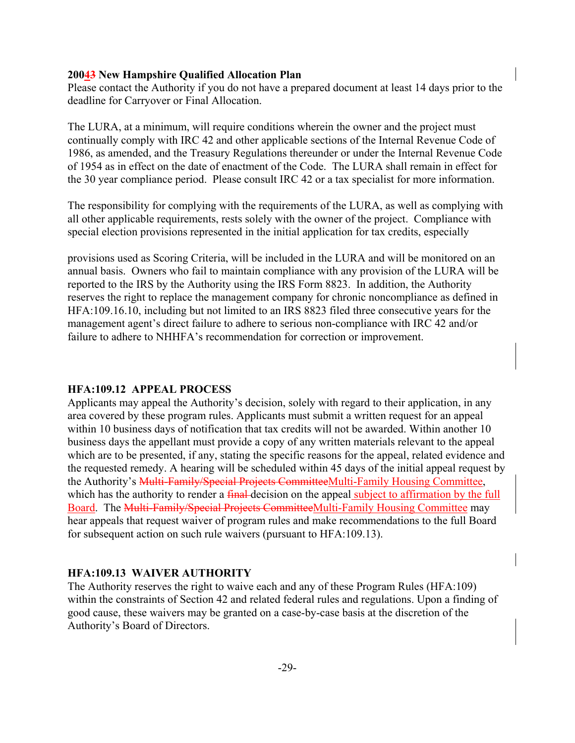Please contact the Authority if you do not have a prepared document at least 14 days prior to the deadline for Carryover or Final Allocation.

The LURA, at a minimum, will require conditions wherein the owner and the project must continually comply with IRC 42 and other applicable sections of the Internal Revenue Code of 1986, as amended, and the Treasury Regulations thereunder or under the Internal Revenue Code of 1954 as in effect on the date of enactment of the Code. The LURA shall remain in effect for the 30 year compliance period. Please consult IRC 42 or a tax specialist for more information.

The responsibility for complying with the requirements of the LURA, as well as complying with all other applicable requirements, rests solely with the owner of the project. Compliance with special election provisions represented in the initial application for tax credits, especially

provisions used as Scoring Criteria, will be included in the LURA and will be monitored on an annual basis. Owners who fail to maintain compliance with any provision of the LURA will be reported to the IRS by the Authority using the IRS Form 8823. In addition, the Authority reserves the right to replace the management company for chronic noncompliance as defined in HFA:109.16.10, including but not limited to an IRS 8823 filed three consecutive years for the management agent's direct failure to adhere to serious non-compliance with IRC 42 and/or failure to adhere to NHHFA's recommendation for correction or improvement.

#### **HFA:109.12 APPEAL PROCESS**

Applicants may appeal the Authority's decision, solely with regard to their application, in any area covered by these program rules. Applicants must submit a written request for an appeal within 10 business days of notification that tax credits will not be awarded. Within another 10 business days the appellant must provide a copy of any written materials relevant to the appeal which are to be presented, if any, stating the specific reasons for the appeal, related evidence and the requested remedy. A hearing will be scheduled within 45 days of the initial appeal request by the Authority's Multi-Family/Special Projects CommitteeMulti-Family Housing Committee, which has the authority to render a final-decision on the appeal subject to affirmation by the full Board. The Multi-Family/Special Projects CommitteeMulti-Family Housing Committee may hear appeals that request waiver of program rules and make recommendations to the full Board for subsequent action on such rule waivers (pursuant to HFA:109.13).

# **HFA:109.13 WAIVER AUTHORITY**

The Authority reserves the right to waive each and any of these Program Rules (HFA:109) within the constraints of Section 42 and related federal rules and regulations. Upon a finding of good cause, these waivers may be granted on a case-by-case basis at the discretion of the Authority's Board of Directors.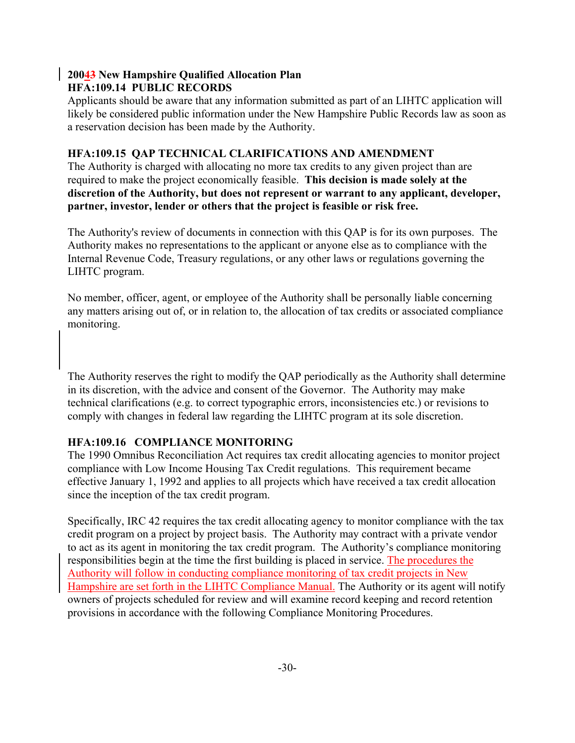# **20043 New Hampshire Qualified Allocation Plan HFA:109.14 PUBLIC RECORDS**

Applicants should be aware that any information submitted as part of an LIHTC application will likely be considered public information under the New Hampshire Public Records law as soon as a reservation decision has been made by the Authority.

# **HFA:109.15 QAP TECHNICAL CLARIFICATIONS AND AMENDMENT**

The Authority is charged with allocating no more tax credits to any given project than are required to make the project economically feasible. **This decision is made solely at the discretion of the Authority, but does not represent or warrant to any applicant, developer, partner, investor, lender or others that the project is feasible or risk free.** 

The Authority's review of documents in connection with this QAP is for its own purposes. The Authority makes no representations to the applicant or anyone else as to compliance with the Internal Revenue Code, Treasury regulations, or any other laws or regulations governing the LIHTC program.

No member, officer, agent, or employee of the Authority shall be personally liable concerning any matters arising out of, or in relation to, the allocation of tax credits or associated compliance monitoring.

The Authority reserves the right to modify the QAP periodically as the Authority shall determine in its discretion, with the advice and consent of the Governor. The Authority may make technical clarifications (e.g. to correct typographic errors, inconsistencies etc.) or revisions to comply with changes in federal law regarding the LIHTC program at its sole discretion.

# **HFA:109.16 COMPLIANCE MONITORING**

The 1990 Omnibus Reconciliation Act requires tax credit allocating agencies to monitor project compliance with Low Income Housing Tax Credit regulations. This requirement became effective January 1, 1992 and applies to all projects which have received a tax credit allocation since the inception of the tax credit program.

Specifically, IRC 42 requires the tax credit allocating agency to monitor compliance with the tax credit program on a project by project basis. The Authority may contract with a private vendor to act as its agent in monitoring the tax credit program. The Authority's compliance monitoring responsibilities begin at the time the first building is placed in service. The procedures the Authority will follow in conducting compliance monitoring of tax credit projects in New Hampshire are set forth in the LIHTC Compliance Manual. The Authority or its agent will notify owners of projects scheduled for review and will examine record keeping and record retention provisions in accordance with the following Compliance Monitoring Procedures.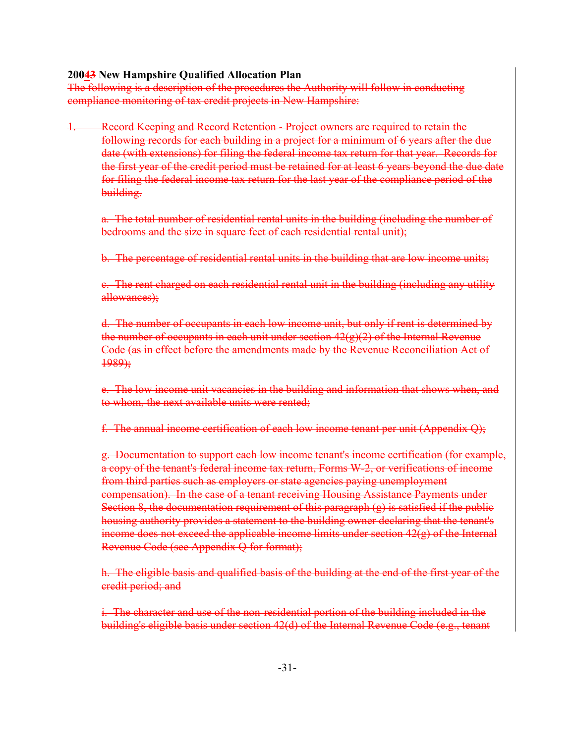The following is a description of the procedures the Authority will follow in conducting compliance monitoring of tax credit projects in New Hampshire:

Record Keeping and Record Retention - Project owners are required to retain the following records for each building in a project for a minimum of 6 years after the due date (with extensions) for filing the federal income tax return for that year. Records for the first year of the credit period must be retained for at least 6 years beyond the due date for filing the federal income tax return for the last year of the compliance period of the building.

a. The total number of residential rental units in the building (including the number of bedrooms and the size in square feet of each residential rental unit);

b. The percentage of residential rental units in the building that are low income units;

c. The rent charged on each residential rental unit in the building (including any utility allowances);

d. The number of occupants in each low income unit, but only if rent is determined by the number of occupants in each unit under section  $42(g)(2)$  of the Internal Revenue Code (as in effect before the amendments made by the Revenue Reconciliation Act of 1989);

e. The low income unit vacancies in the building and information that shows when, and to whom, the next available units were rented;

f. The annual income certification of each low income tenant per unit (Appendix Q);

g. Documentation to support each low income tenant's income certification (for example, a copy of the tenant's federal income tax return, Forms W-2, or verifications of income from third parties such as employers or state agencies paying unemployment compensation). In the case of a tenant receiving Housing Assistance Payments under Section 8, the documentation requirement of this paragraph  $(g)$  is satisfied if the public housing authority provides a statement to the building owner declaring that the tenant's income does not exceed the applicable income limits under section  $42(g)$  of the Internal Revenue Code (see Appendix Q for format);

h. The eligible basis and qualified basis of the building at the end of the first year of the credit period; and

i. The character and use of the non-residential portion of the building included in the building's eligible basis under section 42(d) of the Internal Revenue Code (e.g., tenant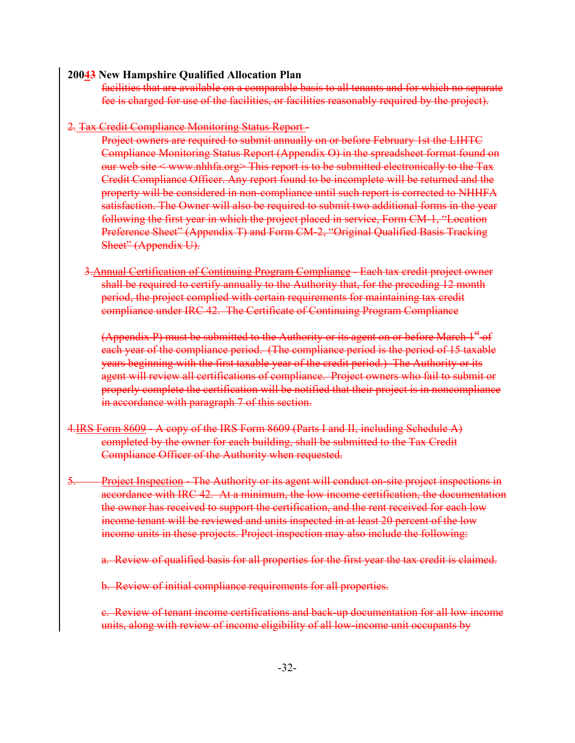facilities that are available on a comparable basis to all tenants and for which no separate fee is charged for use of the facilities, or facilities reasonably required by the project).

2. Tax Credit Compliance Monitoring Status Report-

Project owners are required to submit annually on or before February 1st the LIHTC Compliance Monitoring Status Report (Appendix O) in the spreadsheet format found on our web site < www.nhhfa.org> This report is to be submitted electronically to the Tax Credit Compliance Officer. Any report found to be incomplete will be returned and the property will be considered in non-compliance until such report is corrected to NHHFA satisfaction. The Owner will also be required to submit two additional forms in the year following the first year in which the project placed in service, Form CM-1, "Location Preference Sheet" (Appendix T) and Form CM-2, "Original Qualified Basis Tracking Sheet" (Appendix U).

3.Annual Certification of Continuing Program Compliance - Each tax credit project owner shall be required to certify annually to the Authority that, for the preceding 12 month period, the project complied with certain requirements for maintaining tax credit compliance under IRC 42. The Certificate of Continuing Program Compliance

(Appendix P) must be submitted to the Authority or its agent on or before March  $1<sup>st</sup>$  of each year of the compliance period. (The compliance period is the period of 15 taxable years beginning with the first taxable year of the credit period.) The Authority or its agent will review all certifications of compliance. Project owners who fail to submit or properly complete the certification will be notified that their project is in noncompliance in accordance with paragraph 7 of this section.

- 4.IRS Form 8609 A copy of the IRS Form 8609 (Parts I and II, including Schedule A) completed by the owner for each building, shall be submitted to the Tax Credit Compliance Officer of the Authority when requested.
- 5. Project Inspection The Authority or its agent will conduct on-site project inspections in accordance with IRC 42. At a minimum, the low income certification, the documentation the owner has received to support the certification, and the rent received for each low income tenant will be reviewed and units inspected in at least 20 percent of the low income units in these projects. Project inspection may also include the following:

a. Review of qualified basis for all properties for the first year the tax credit is claimed.

b. Review of initial compliance requirements for all properties.

c. Review of tenant income certifications and back-up documentation for all low income units, along with review of income eligibility of all low-income unit occupants by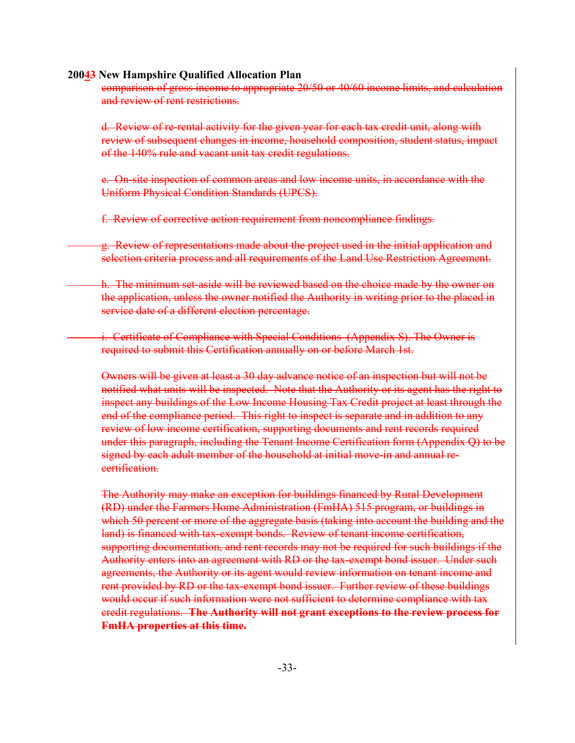comparison of gross income to appropriate 20/50 or 40/60 income limits, and calculation and review of rent restrictions.

d. Review of re-rental activity for the given year for each tax credit unit, along with review of subsequent changes in income, household composition, student status, impact of the 140% rule and vacant unit tax credit regulations.

e. On-site inspection of common areas and low income units, in accordance with the Uniform Physical Condition Standards (UPCS).

f. Review of corrective action requirement from noncompliance findings.

g. Review of representations made about the project used in the initial application and selection criteria process and all requirements of the Land Use Restriction Agreement.

h. The minimum set-aside will be reviewed based on the choice made by the owner on the application, unless the owner notified the Authority in writing prior to the placed in service date of a different election percentage.

i. Certificate of Compliance with Special Conditions (Appendix S). The Owner is required to submit this Certification annually on or before March 1st.

Owners will be given at least a 30 day advance notice of an inspection but will not be notified what units will be inspected. Note that the Authority or its agent has the right to inspect any buildings of the Low Income Housing Tax Credit project at least through the end of the compliance period. This right to inspect is separate and in addition to any review of low income certification, supporting documents and rent records required under this paragraph, including the Tenant Income Certification form (Appendix Q) to be signed by each adult member of the household at initial move-in and annual recertification.

The Authority may make an exception for buildings financed by Rural Development (RD) under the Farmers Home Administration (FmHA) 515 program, or buildings in which 50 percent or more of the aggregate basis (taking into account the building and the land) is financed with tax-exempt bonds. Review of tenant income certification, supporting documentation, and rent records may not be required for such buildings if the Authority enters into an agreement with RD or the tax-exempt bond issuer. Under such agreements, the Authority or its agent would review information on tenant income and rent provided by RD or the tax-exempt bond issuer. Further review of these buildings would occur if such information were not sufficient to determine compliance with tax credit regulations. **The Authority will not grant exceptions to the review process for FmHA properties at this time.**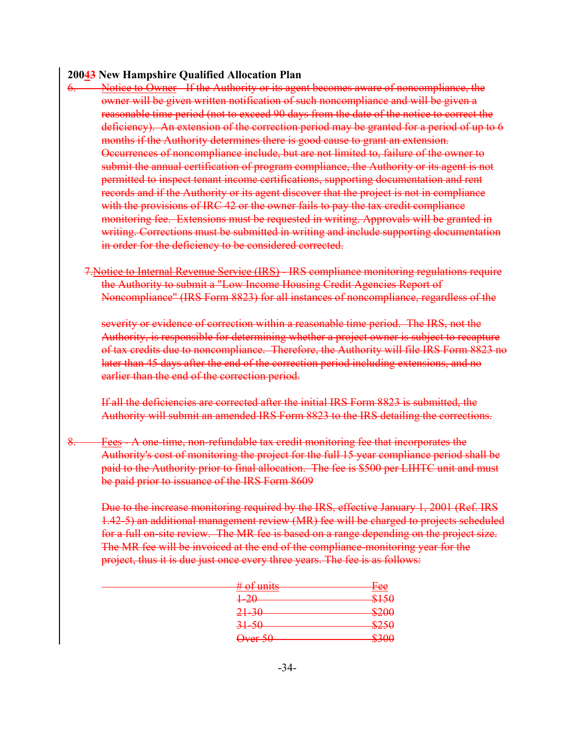- 6. Notice to Owner If the Authority or its agent becomes aware of noncompliance, the owner will be given written notification of such noncompliance and will be given a reasonable time period (not to exceed 90 days from the date of the notice to correct the deficiency). An extension of the correction period may be granted for a period of up to 6 months if the Authority determines there is good cause to grant an extension. Occurrences of noncompliance include, but are not limited to, failure of the owner to submit the annual certification of program compliance, the Authority or its agent is not permitted to inspect tenant income certifications, supporting documentation and rent records and if the Authority or its agent discover that the project is not in compliance with the provisions of IRC 42 or the owner fails to pay the tax credit compliance monitoring fee. Extensions must be requested in writing. Approvals will be granted in writing. Corrections must be submitted in writing and include supporting documentation in order for the deficiency to be considered corrected.
	- 7.Notice to Internal Revenue Service (IRS) IRS compliance monitoring regulations require the Authority to submit a "Low Income Housing Credit Agencies Report of Noncompliance" (IRS Form 8823) for all instances of noncompliance, regardless of the

severity or evidence of correction within a reasonable time period. The IRS, not the Authority, is responsible for determining whether a project owner is subject to recapture of tax credits due to noncompliance. Therefore, the Authority will file IRS Form 8823 no later than 45 days after the end of the correction period including extensions, and no earlier than the end of the correction period.

If all the deficiencies are corrected after the initial IRS Form 8823 is submitted, the Authority will submit an amended IRS Form 8823 to the IRS detailing the corrections.

8. Fees - A one-time, non-refundable tax credit monitoring fee that incorporates the Authority's cost of monitoring the project for the full 15 year compliance period shall be paid to the Authority prior to final allocation. The fee is \$500 per LIHTC unit and must be paid prior to issuance of the IRS Form 8609

Due to the increase monitoring required by the IRS, effective January 1, 2001 (Ref. IRS 1.42-5) an additional management review (MR) fee will be charged to projects scheduled for a full on-site review. The MR fee is based on a range depending on the project size. The MR fee will be invoiced at the end of the compliance-monitoring year for the project, thus it is due just once every three years. The fee is as follows:

| $\#$ of unite<br><del>" vi unito</del> | Fee                     |
|----------------------------------------|-------------------------|
| 1. $20$<br>1 ZU                        | P150<br><del>ง⊥ാ∪</del> |
| $21 - 30$                              | \$200                   |
| $31 - 50$                              |                         |
|                                        | ঌ∠১৬<br>8300            |
| <del>Over 50</del>                     |                         |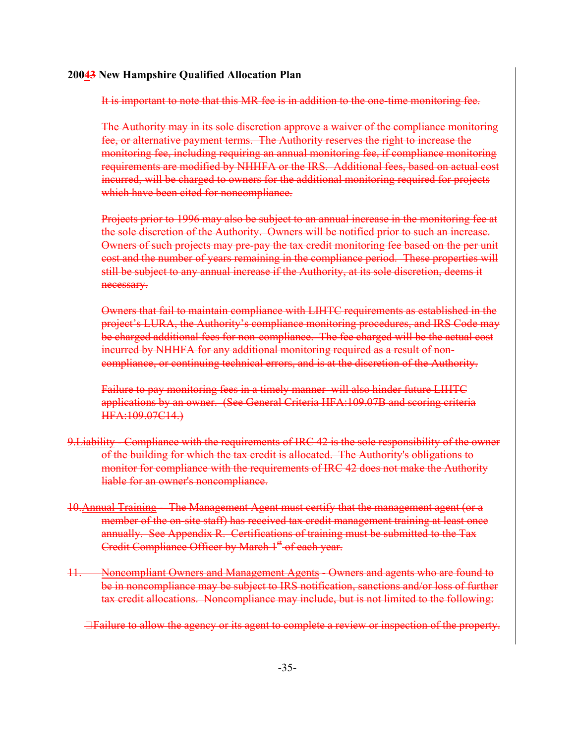It is important to note that this MR fee is in addition to the one-time monitoring fee.

The Authority may in its sole discretion approve a waiver of the compliance monitoring fee, or alternative payment terms. The Authority reserves the right to increase the monitoring fee, including requiring an annual monitoring fee, if compliance monitoring requirements are modified by NHHFA or the IRS. Additional fees, based on actual cost incurred, will be charged to owners for the additional monitoring required for projects which have been cited for noncompliance.

Projects prior to 1996 may also be subject to an annual increase in the monitoring fee at the sole discretion of the Authority. Owners will be notified prior to such an increase. Owners of such projects may pre-pay the tax credit monitoring fee based on the per unit cost and the number of years remaining in the compliance period. These properties will still be subject to any annual increase if the Authority, at its sole discretion, deems it necessary.

Owners that fail to maintain compliance with LIHTC requirements as established in the project's LURA, the Authority's compliance monitoring procedures, and IRS Code may be charged additional fees for non-compliance. The fee charged will be the actual cost incurred by NHHFA for any additional monitoring required as a result of noncompliance, or continuing technical errors, and is at the discretion of the Authority.

Failure to pay monitoring fees in a timely manner will also hinder future LIHTC applications by an owner. (See General Criteria HFA:109.07B and scoring criteria HFA:109.07C14.)

- 9. Liability Compliance with the requirements of IRC 42 is the sole responsibility of the owner of the building for which the tax credit is allocated. The Authority's obligations to monitor for compliance with the requirements of IRC 42 does not make the Authority liable for an owner's noncompliance.
- 10.Annual Training The Management Agent must certify that the management agent (or a member of the on-site staff) has received tax credit management training at least once annually. See Appendix R. Certifications of training must be submitted to the Tax Credit Compliance Officer by March 1<sup>st</sup> of each year.
- 11. Noncompliant Owners and Management Agents Owners and agents who are found to be in noncompliance may be subject to IRS notification, sanctions and/or loss of further tax credit allocations. Noncompliance may include, but is not limited to the following:
	- **Exailure to allow the agency or its agent to complete a review or inspection of the property.**